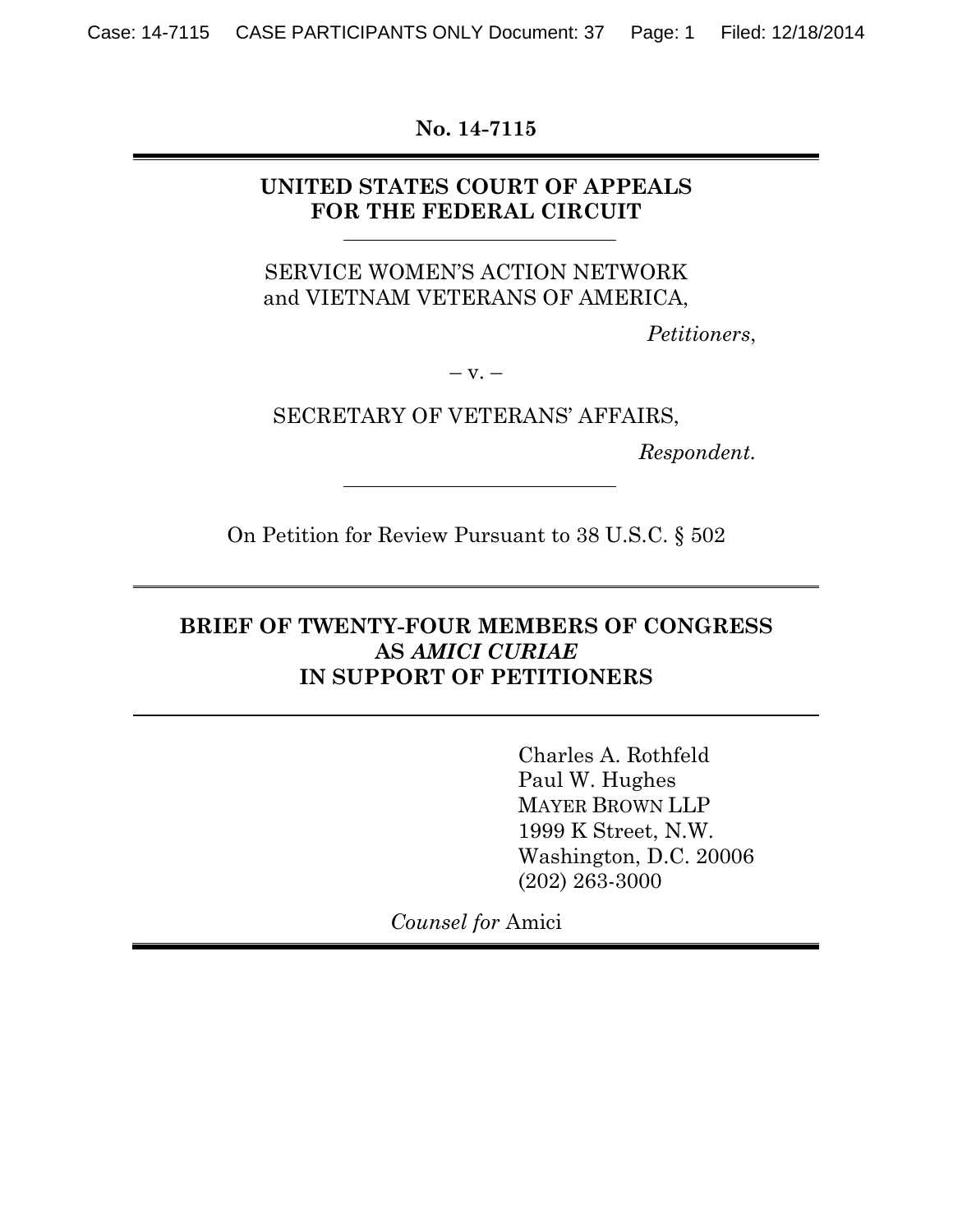**No. 14-7115** 

### **UNITED STATES COURT OF APPEALS FOR THE FEDERAL CIRCUIT**

#### SERVICE WOMEN'S ACTION NETWORK and VIETNAM VETERANS OF AMERICA,

*Petitioners*,

 $-$  v.  $-$ 

SECRETARY OF VETERANS' AFFAIRS,

*Respondent.*

On Petition for Review Pursuant to 38 U.S.C. § 502

### **BRIEF OF TWENTY-FOUR MEMBERS OF CONGRESS AS** *AMICI CURIAE*  **IN SUPPORT OF PETITIONERS**

Charles A. Rothfeld Paul W. Hughes MAYER BROWN LLP 1999 K Street, N.W. Washington, D.C. 20006 (202) 263-3000

*Counsel for* Amici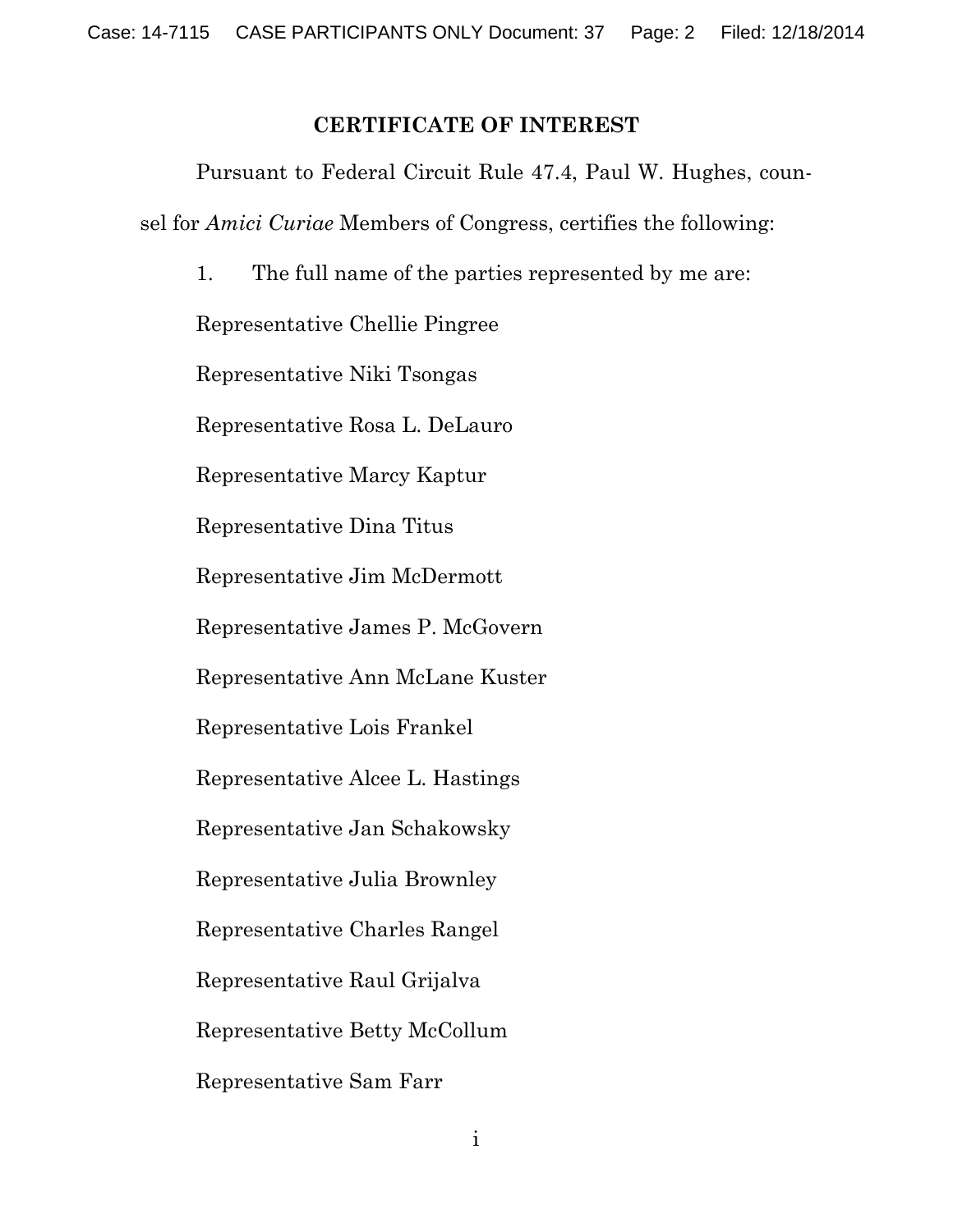#### **CERTIFICATE OF INTEREST**

Pursuant to Federal Circuit Rule 47.4, Paul W. Hughes, counsel for *Amici Curiae* Members of Congress, certifies the following:

1. The full name of the parties represented by me are: Representative Chellie Pingree Representative Niki Tsongas Representative Rosa L. DeLauro Representative Marcy Kaptur Representative Dina Titus Representative Jim McDermott Representative James P. McGovern Representative Ann McLane Kuster Representative Lois Frankel Representative Alcee L. Hastings Representative Jan Schakowsky Representative Julia Brownley Representative Charles Rangel Representative Raul Grijalva Representative Betty McCollum Representative Sam Farr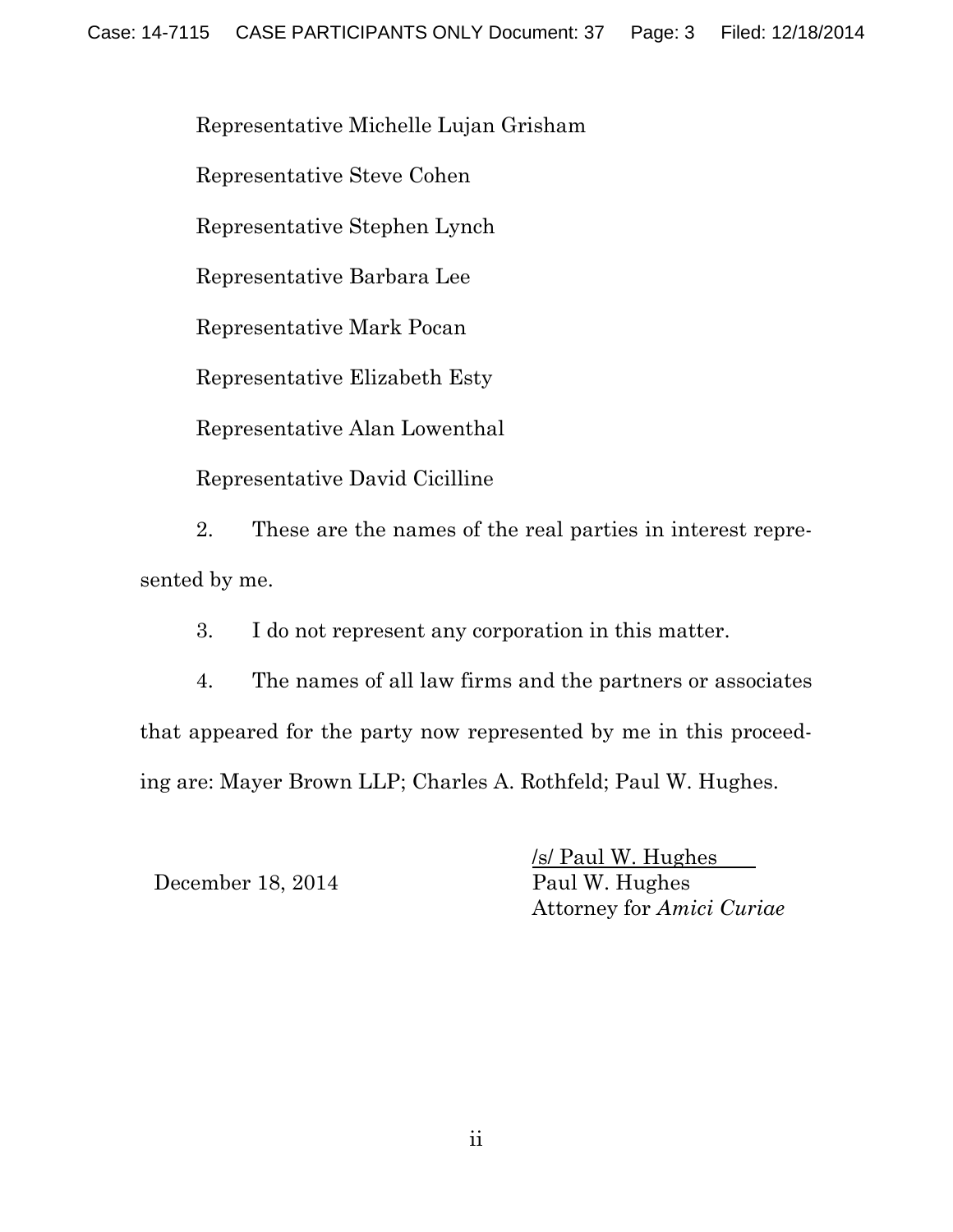Representative Michelle Lujan Grisham

Representative Steve Cohen

Representative Stephen Lynch

Representative Barbara Lee

Representative Mark Pocan

Representative Elizabeth Esty

Representative Alan Lowenthal

Representative David Cicilline

2. These are the names of the real parties in interest represented by me.

3. I do not represent any corporation in this matter.

4. The names of all law firms and the partners or associates that appeared for the party now represented by me in this proceeding are: Mayer Brown LLP; Charles A. Rothfeld; Paul W. Hughes.

December 18, 2014 Paul W. Hughes

/s/ Paul W. Hughes Attorney for *Amici Curiae*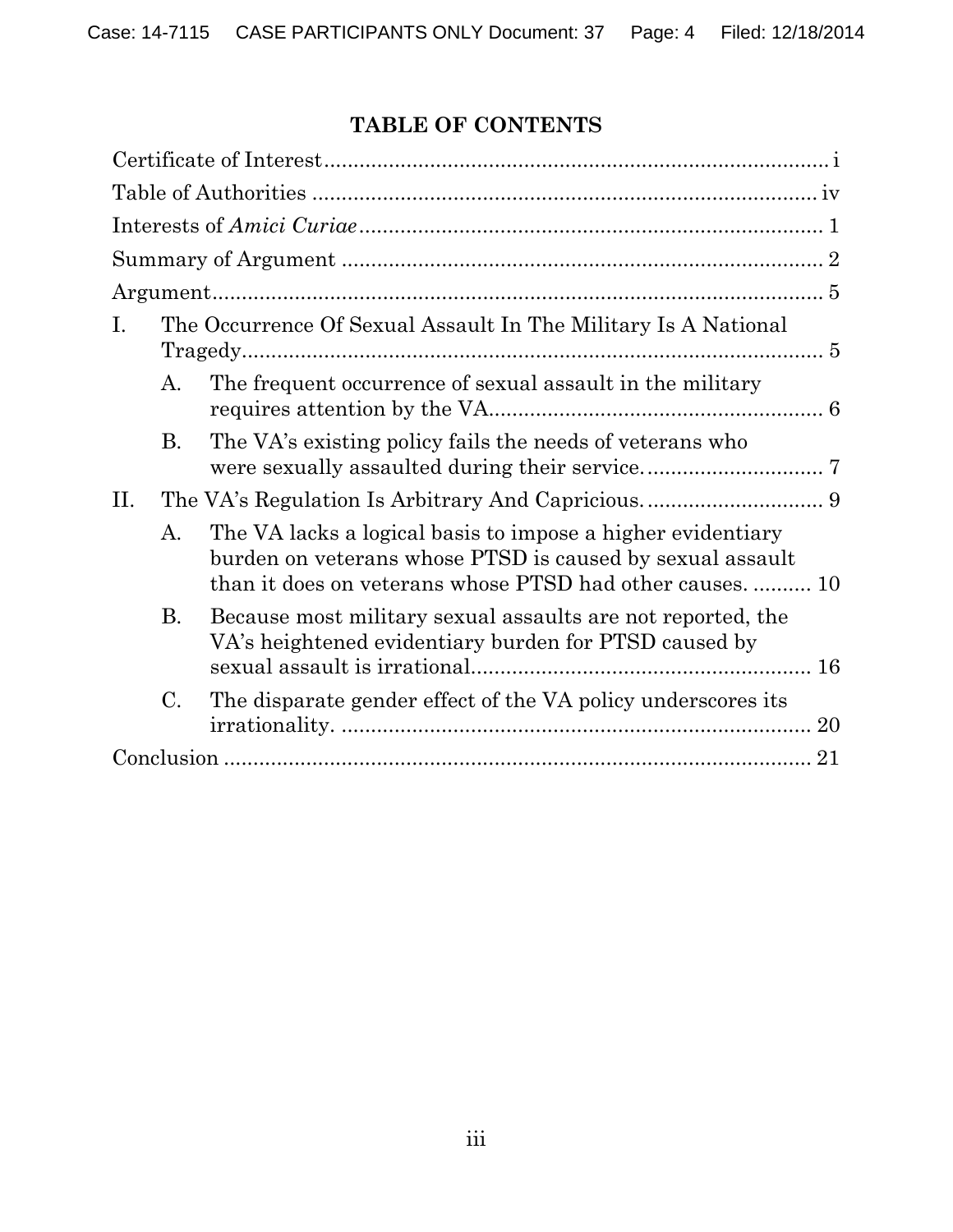# **TABLE OF CONTENTS**

| The Occurrence Of Sexual Assault In The Military Is A National<br>I.                                                                                                                        |  |
|---------------------------------------------------------------------------------------------------------------------------------------------------------------------------------------------|--|
| The frequent occurrence of sexual assault in the military<br>A.                                                                                                                             |  |
| The VA's existing policy fails the needs of veterans who<br>В.                                                                                                                              |  |
| II.                                                                                                                                                                                         |  |
| The VA lacks a logical basis to impose a higher evidentiary<br>A.<br>burden on veterans whose PTSD is caused by sexual assault<br>than it does on veterans whose PTSD had other causes.  10 |  |
| <b>B.</b><br>Because most military sexual assaults are not reported, the<br>VA's heightened evidentiary burden for PTSD caused by                                                           |  |
| $\mathcal{C}$ .<br>The disparate gender effect of the VA policy underscores its                                                                                                             |  |
|                                                                                                                                                                                             |  |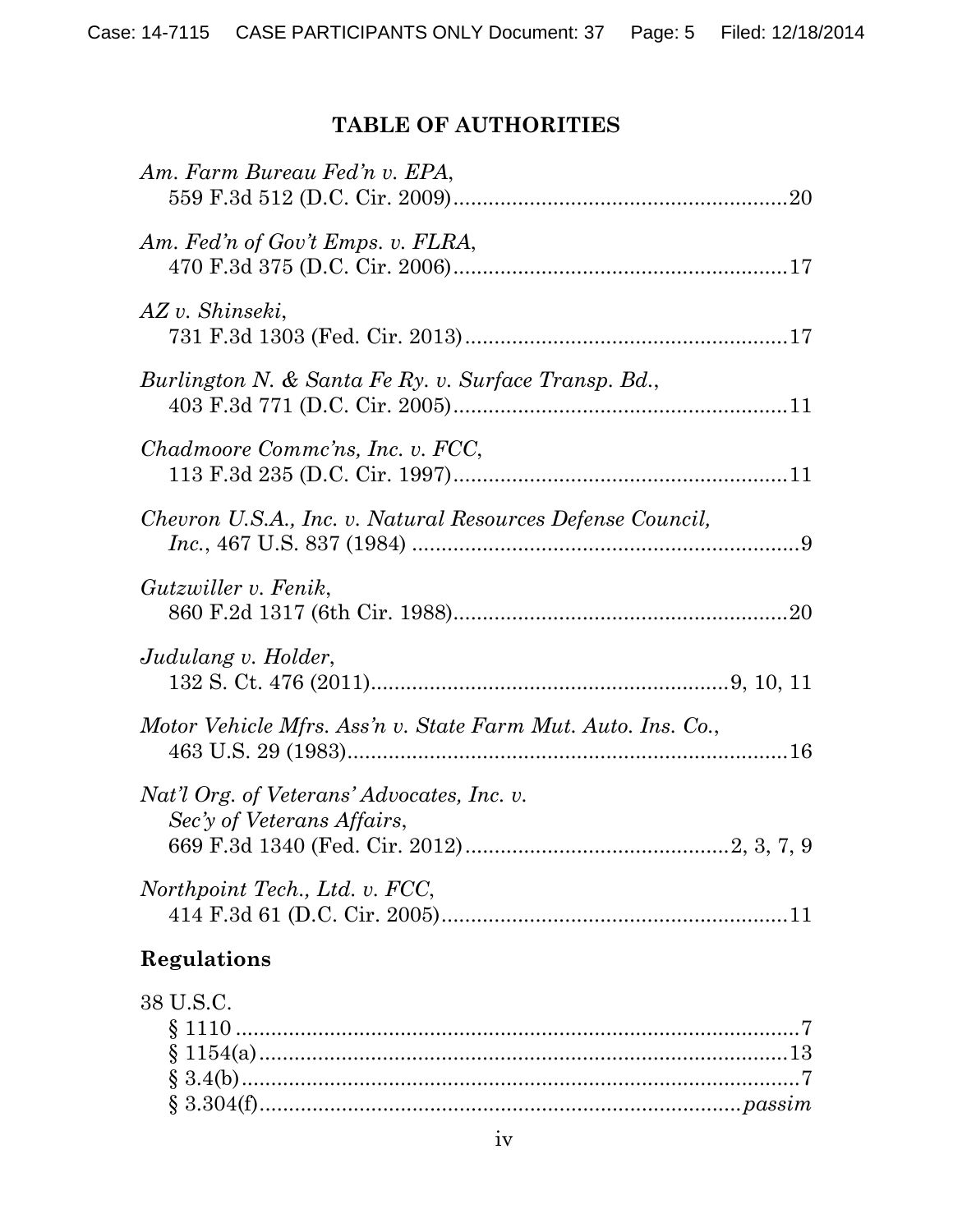## **TABLE OF AUTHORITIES**

| Am. Farm Bureau Fed'n v. EPA,                                            |
|--------------------------------------------------------------------------|
| Am. Fed'n of Gov't Emps. v. FLRA,                                        |
| AZ v. Shinseki,                                                          |
| Burlington N. & Santa Fe Ry. v. Surface Transp. Bd.,                     |
| Chadmoore Commc'ns, Inc. v. FCC,                                         |
| Chevron U.S.A., Inc. v. Natural Resources Defense Council,               |
| Gutzwiller v. Fenik,                                                     |
| Judulang v. Holder,                                                      |
| Motor Vehicle Mfrs. Ass'n v. State Farm Mut. Auto. Ins. Co.,             |
| Nat'l Org. of Veterans' Advocates, Inc. v.<br>Sec'y of Veterans Affairs, |
| Northpoint Tech., Ltd. v. FCC,                                           |
| Regulations                                                              |
| 38 U.S.C.                                                                |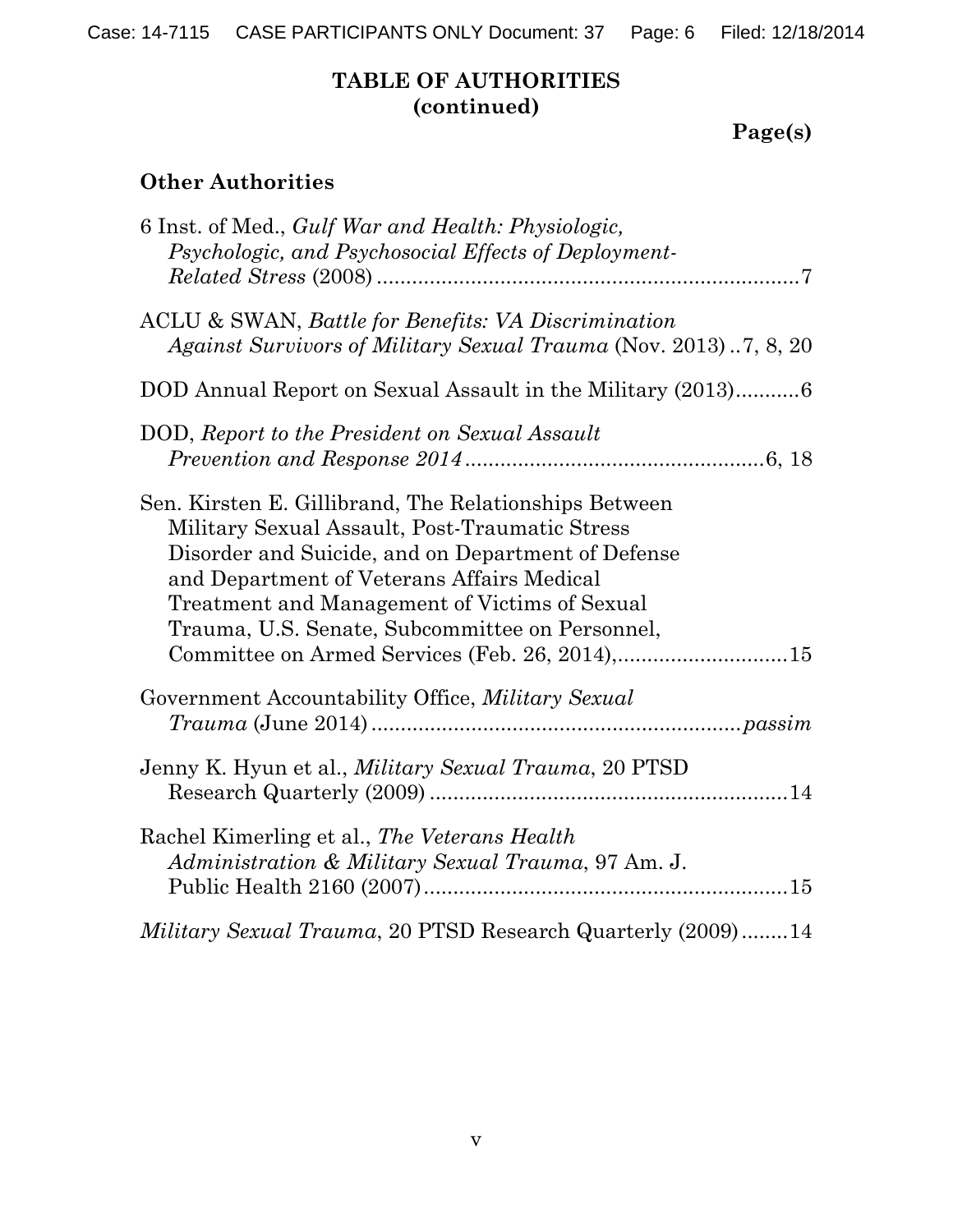Case: 14-7115 CASE PARTICIPANTS ONLY Document: 37 Page: 6 Filed: 12/18/2014

## **TABLE OF AUTHORITIES (continued)**

# **Page(s)**

## **Other Authorities**

| 6 Inst. of Med., <i>Gulf War and Health: Physiologic,</i><br>Psychologic, and Psychosocial Effects of Deployment-                                                                                                                                                                                               |
|-----------------------------------------------------------------------------------------------------------------------------------------------------------------------------------------------------------------------------------------------------------------------------------------------------------------|
| ACLU & SWAN, Battle for Benefits: VA Discrimination<br>Against Survivors of Military Sexual Trauma (Nov. 2013)7, 8, 20                                                                                                                                                                                          |
| DOD Annual Report on Sexual Assault in the Military (2013)6                                                                                                                                                                                                                                                     |
| DOD, Report to the President on Sexual Assault                                                                                                                                                                                                                                                                  |
| Sen. Kirsten E. Gillibrand, The Relationships Between<br>Military Sexual Assault, Post-Traumatic Stress<br>Disorder and Suicide, and on Department of Defense<br>and Department of Veterans Affairs Medical<br>Treatment and Management of Victims of Sexual<br>Trauma, U.S. Senate, Subcommittee on Personnel, |
| Government Accountability Office, Military Sexual                                                                                                                                                                                                                                                               |
| Jenny K. Hyun et al., <i>Military Sexual Trauma</i> , 20 PTSD                                                                                                                                                                                                                                                   |
| Rachel Kimerling et al., The Veterans Health<br>Administration & Military Sexual Trauma, 97 Am. J.                                                                                                                                                                                                              |
| Military Sexual Trauma, 20 PTSD Research Quarterly (2009)14                                                                                                                                                                                                                                                     |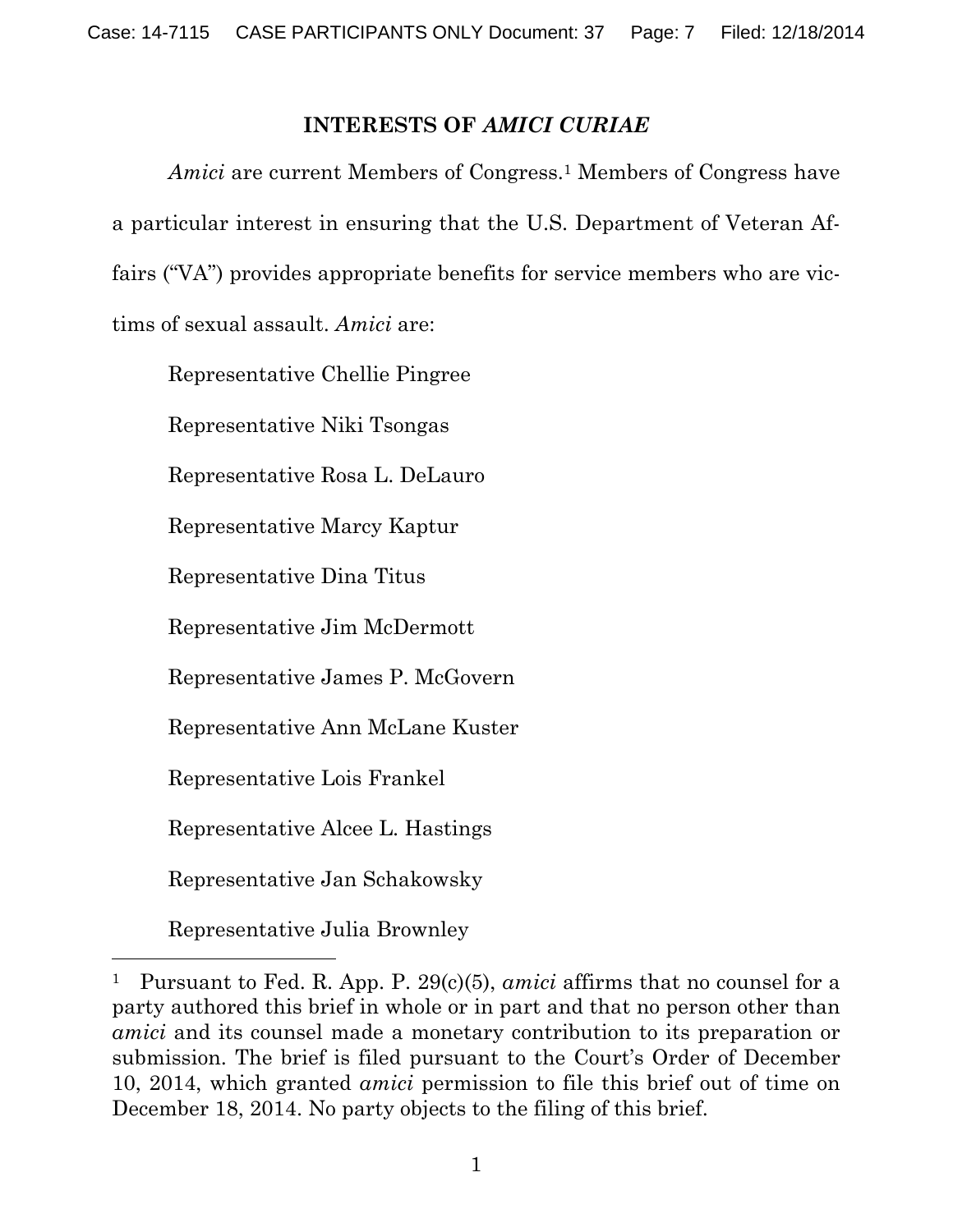### **INTERESTS OF** *AMICI CURIAE*

*Amici* are current Members of Congress.<sup>1</sup> Members of Congress have a particular interest in ensuring that the U.S. Department of Veteran Affairs ("VA") provides appropriate benefits for service members who are victims of sexual assault. *Amici* are:

Representative Chellie Pingree

Representative Niki Tsongas

Representative Rosa L. DeLauro

Representative Marcy Kaptur

Representative Dina Titus

Representative Jim McDermott

Representative James P. McGovern

Representative Ann McLane Kuster

Representative Lois Frankel

Representative Alcee L. Hastings

Representative Jan Schakowsky

Representative Julia Brownley

-

<sup>1</sup> Pursuant to Fed. R. App. P. 29(c)(5), *amici* affirms that no counsel for a party authored this brief in whole or in part and that no person other than *amici* and its counsel made a monetary contribution to its preparation or submission. The brief is filed pursuant to the Court's Order of December 10, 2014, which granted *amici* permission to file this brief out of time on December 18, 2014. No party objects to the filing of this brief.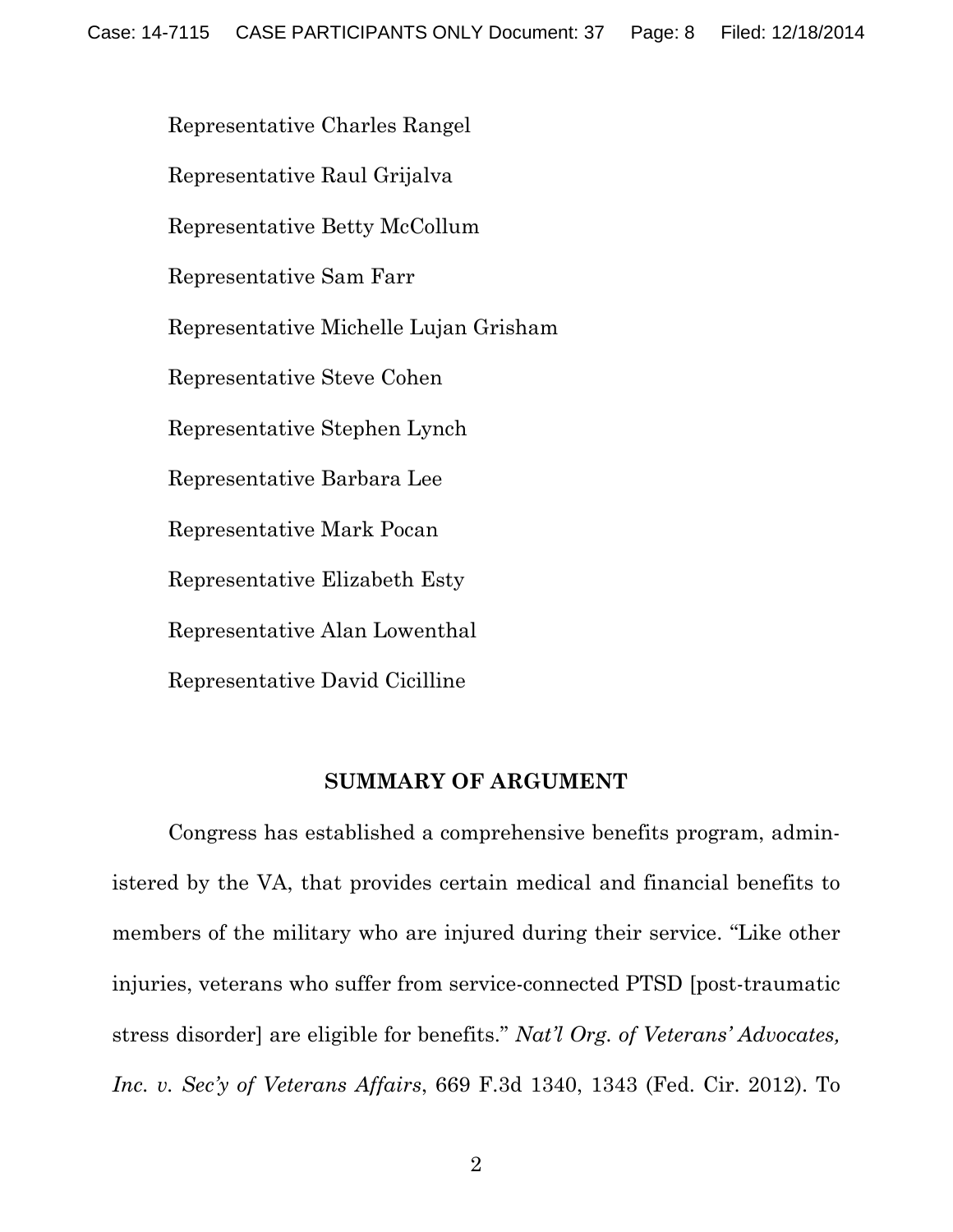Representative Charles Rangel

Representative Raul Grijalva

Representative Betty McCollum

Representative Sam Farr

Representative Michelle Lujan Grisham

Representative Steve Cohen

Representative Stephen Lynch

Representative Barbara Lee

Representative Mark Pocan

Representative Elizabeth Esty

Representative Alan Lowenthal

Representative David Cicilline

#### **SUMMARY OF ARGUMENT**

Congress has established a comprehensive benefits program, administered by the VA, that provides certain medical and financial benefits to members of the military who are injured during their service. "Like other injuries, veterans who suffer from service-connected PTSD [post-traumatic stress disorder] are eligible for benefits." *Nat'l Org. of Veterans' Advocates, Inc. v. Sec'y of Veterans Affairs*, 669 F.3d 1340, 1343 (Fed. Cir. 2012). To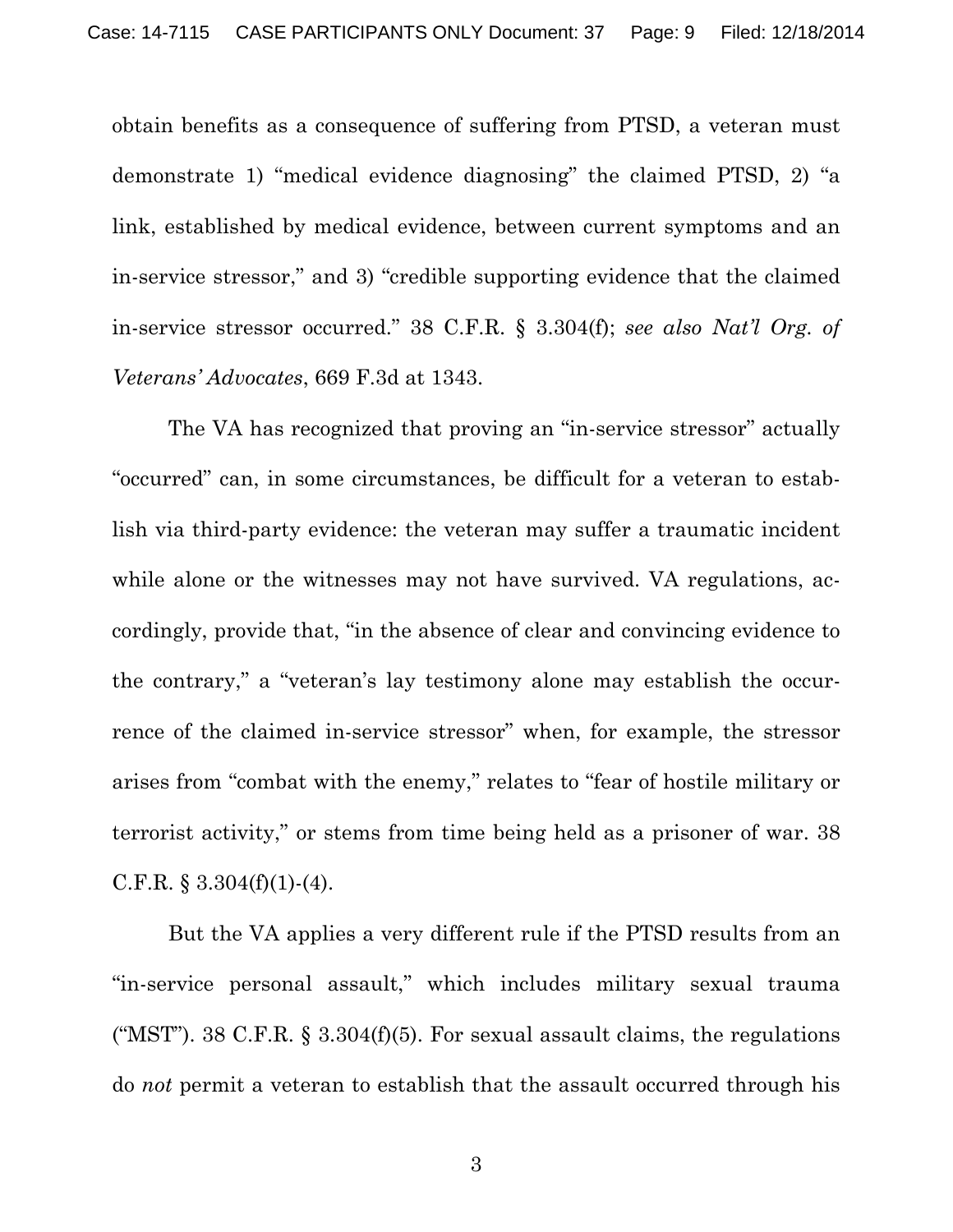obtain benefits as a consequence of suffering from PTSD, a veteran must demonstrate 1) "medical evidence diagnosing" the claimed PTSD, 2) "a link, established by medical evidence, between current symptoms and an in-service stressor," and 3) "credible supporting evidence that the claimed in-service stressor occurred." 38 C.F.R. § 3.304(f); *see also Nat'l Org. of Veterans' Advocates*, 669 F.3d at 1343.

 The VA has recognized that proving an "in-service stressor" actually "occurred" can, in some circumstances, be difficult for a veteran to establish via third-party evidence: the veteran may suffer a traumatic incident while alone or the witnesses may not have survived. VA regulations, accordingly, provide that, "in the absence of clear and convincing evidence to the contrary," a "veteran's lay testimony alone may establish the occurrence of the claimed in-service stressor" when, for example, the stressor arises from "combat with the enemy," relates to "fear of hostile military or terrorist activity," or stems from time being held as a prisoner of war. 38 C.F.R.  $\S 3.304(f)(1)-(4)$ .

 But the VA applies a very different rule if the PTSD results from an "in-service personal assault," which includes military sexual trauma ("MST"). 38 C.F.R.  $\S$  3.304(f)(5). For sexual assault claims, the regulations do *not* permit a veteran to establish that the assault occurred through his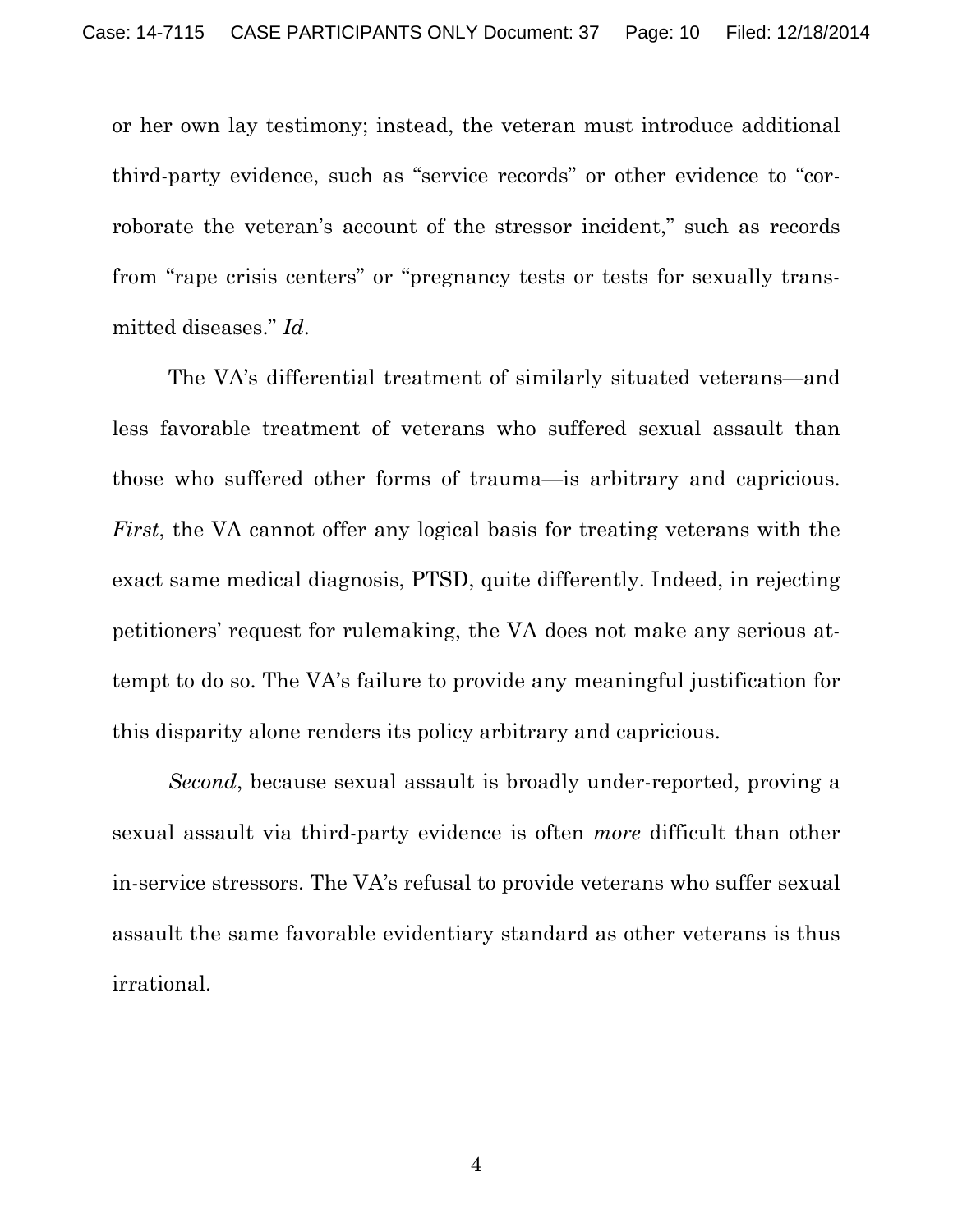or her own lay testimony; instead, the veteran must introduce additional third-party evidence, such as "service records" or other evidence to "corroborate the veteran's account of the stressor incident," such as records from "rape crisis centers" or "pregnancy tests or tests for sexually transmitted diseases." *Id*.

The VA's differential treatment of similarly situated veterans—and less favorable treatment of veterans who suffered sexual assault than those who suffered other forms of trauma—is arbitrary and capricious. *First*, the VA cannot offer any logical basis for treating veterans with the exact same medical diagnosis, PTSD, quite differently. Indeed, in rejecting petitioners' request for rulemaking, the VA does not make any serious attempt to do so. The VA's failure to provide any meaningful justification for this disparity alone renders its policy arbitrary and capricious.

*Second*, because sexual assault is broadly under-reported, proving a sexual assault via third-party evidence is often *more* difficult than other in-service stressors. The VA's refusal to provide veterans who suffer sexual assault the same favorable evidentiary standard as other veterans is thus irrational.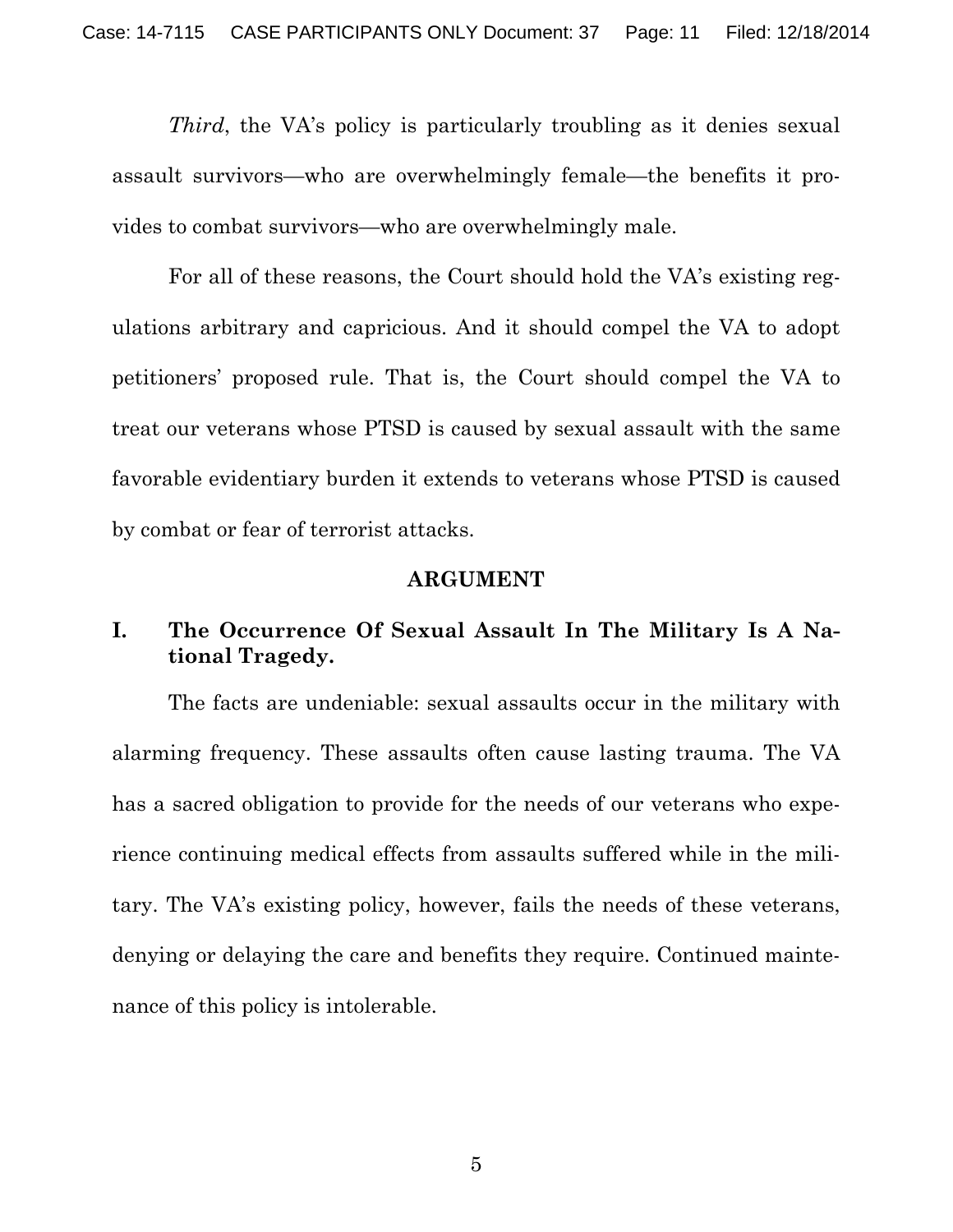*Third*, the VA's policy is particularly troubling as it denies sexual assault survivors—who are overwhelmingly female—the benefits it provides to combat survivors—who are overwhelmingly male.

For all of these reasons, the Court should hold the VA's existing regulations arbitrary and capricious. And it should compel the VA to adopt petitioners' proposed rule. That is, the Court should compel the VA to treat our veterans whose PTSD is caused by sexual assault with the same favorable evidentiary burden it extends to veterans whose PTSD is caused by combat or fear of terrorist attacks.

#### **ARGUMENT**

#### **I. The Occurrence Of Sexual Assault In The Military Is A National Tragedy.**

The facts are undeniable: sexual assaults occur in the military with alarming frequency. These assaults often cause lasting trauma. The VA has a sacred obligation to provide for the needs of our veterans who experience continuing medical effects from assaults suffered while in the military. The VA's existing policy, however, fails the needs of these veterans, denying or delaying the care and benefits they require. Continued maintenance of this policy is intolerable.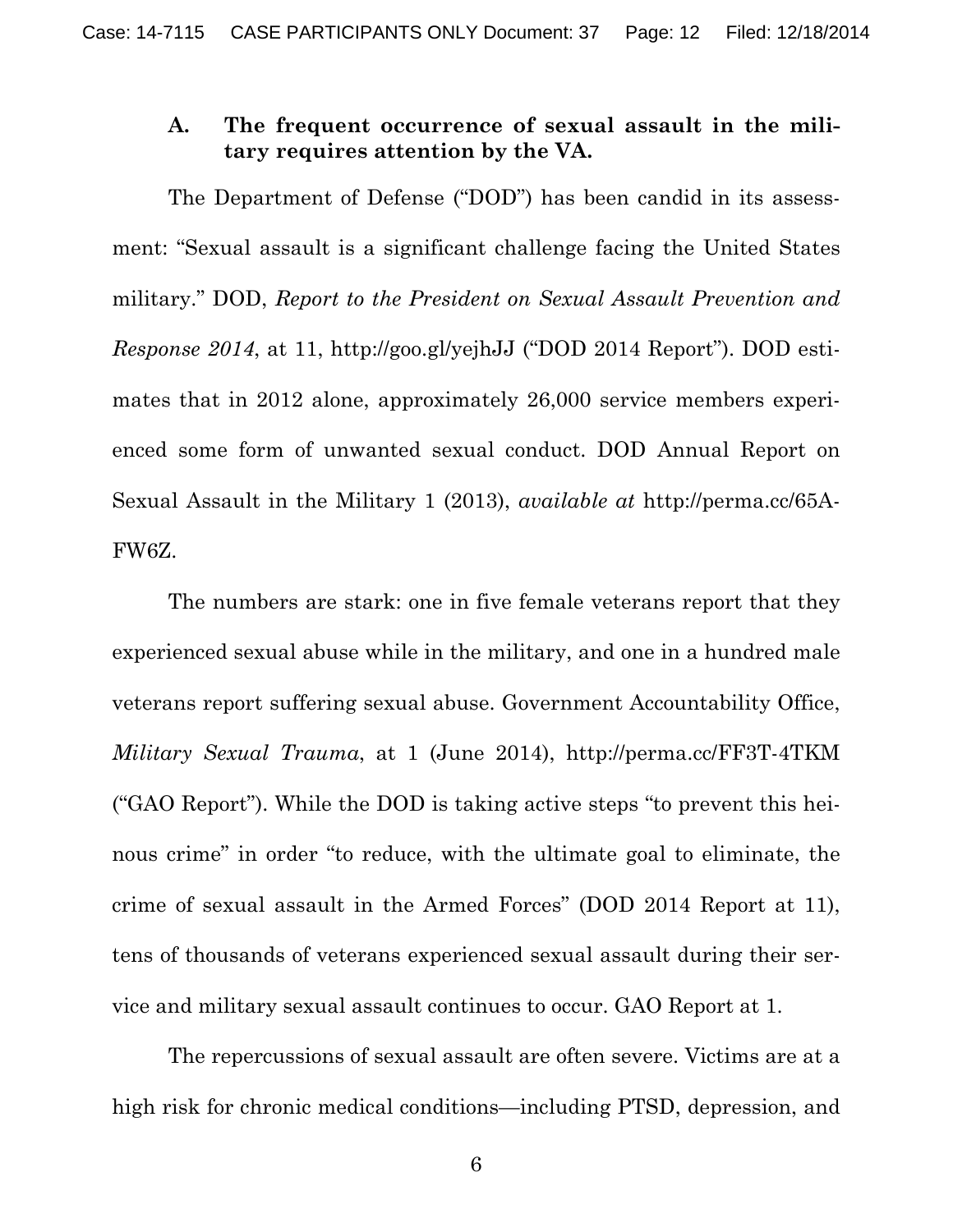#### **A. The frequent occurrence of sexual assault in the military requires attention by the VA.**

The Department of Defense ("DOD") has been candid in its assessment: "Sexual assault is a significant challenge facing the United States military." DOD, *Report to the President on Sexual Assault Prevention and Response 2014*, at 11, http://goo.gl/yejhJJ ("DOD 2014 Report"). DOD estimates that in 2012 alone, approximately 26,000 service members experienced some form of unwanted sexual conduct. DOD Annual Report on Sexual Assault in the Military 1 (2013), *available at* http://perma.cc/65A-FW6Z.

The numbers are stark: one in five female veterans report that they experienced sexual abuse while in the military, and one in a hundred male veterans report suffering sexual abuse. Government Accountability Office, *Military Sexual Trauma*, at 1 (June 2014), http://perma.cc/FF3T-4TKM ("GAO Report"). While the DOD is taking active steps "to prevent this heinous crime" in order "to reduce, with the ultimate goal to eliminate, the crime of sexual assault in the Armed Forces" (DOD 2014 Report at 11), tens of thousands of veterans experienced sexual assault during their service and military sexual assault continues to occur. GAO Report at 1.

The repercussions of sexual assault are often severe. Victims are at a high risk for chronic medical conditions—including PTSD, depression, and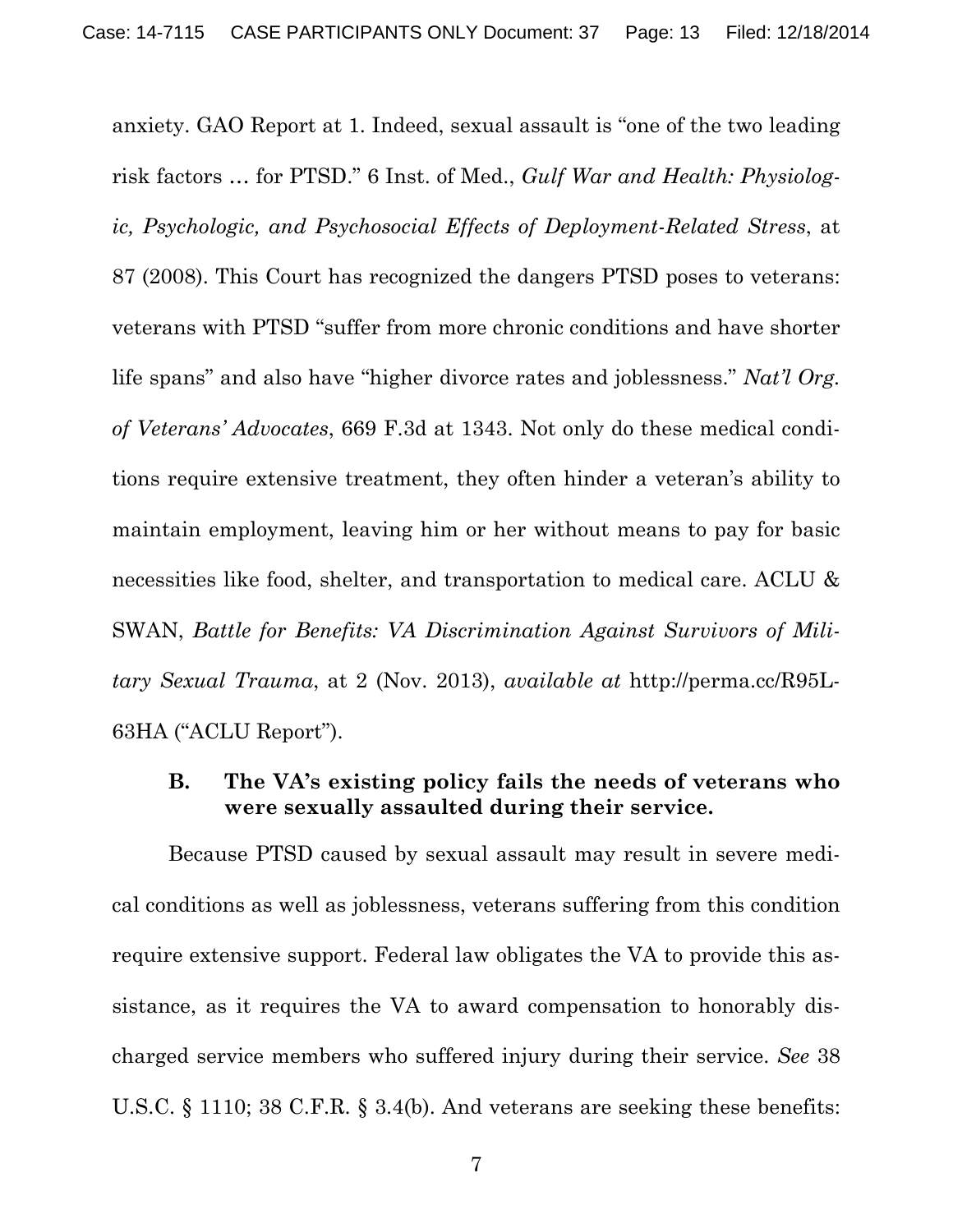anxiety. GAO Report at 1. Indeed, sexual assault is "one of the two leading risk factors … for PTSD." 6 Inst. of Med., *Gulf War and Health: Physiologic, Psychologic, and Psychosocial Effects of Deployment-Related Stress*, at 87 (2008). This Court has recognized the dangers PTSD poses to veterans: veterans with PTSD "suffer from more chronic conditions and have shorter life spans" and also have "higher divorce rates and joblessness." *Nat'l Org. of Veterans' Advocates*, 669 F.3d at 1343. Not only do these medical conditions require extensive treatment, they often hinder a veteran's ability to maintain employment, leaving him or her without means to pay for basic necessities like food, shelter, and transportation to medical care. ACLU  $\&$ SWAN, *Battle for Benefits: VA Discrimination Against Survivors of Military Sexual Trauma*, at 2 (Nov. 2013), *available at* http://perma.cc/R95L-63HA ("ACLU Report").

### **B. The VA's existing policy fails the needs of veterans who were sexually assaulted during their service.**

Because PTSD caused by sexual assault may result in severe medical conditions as well as joblessness, veterans suffering from this condition require extensive support. Federal law obligates the VA to provide this assistance, as it requires the VA to award compensation to honorably discharged service members who suffered injury during their service. *See* 38 U.S.C. § 1110; 38 C.F.R. § 3.4(b). And veterans are seeking these benefits: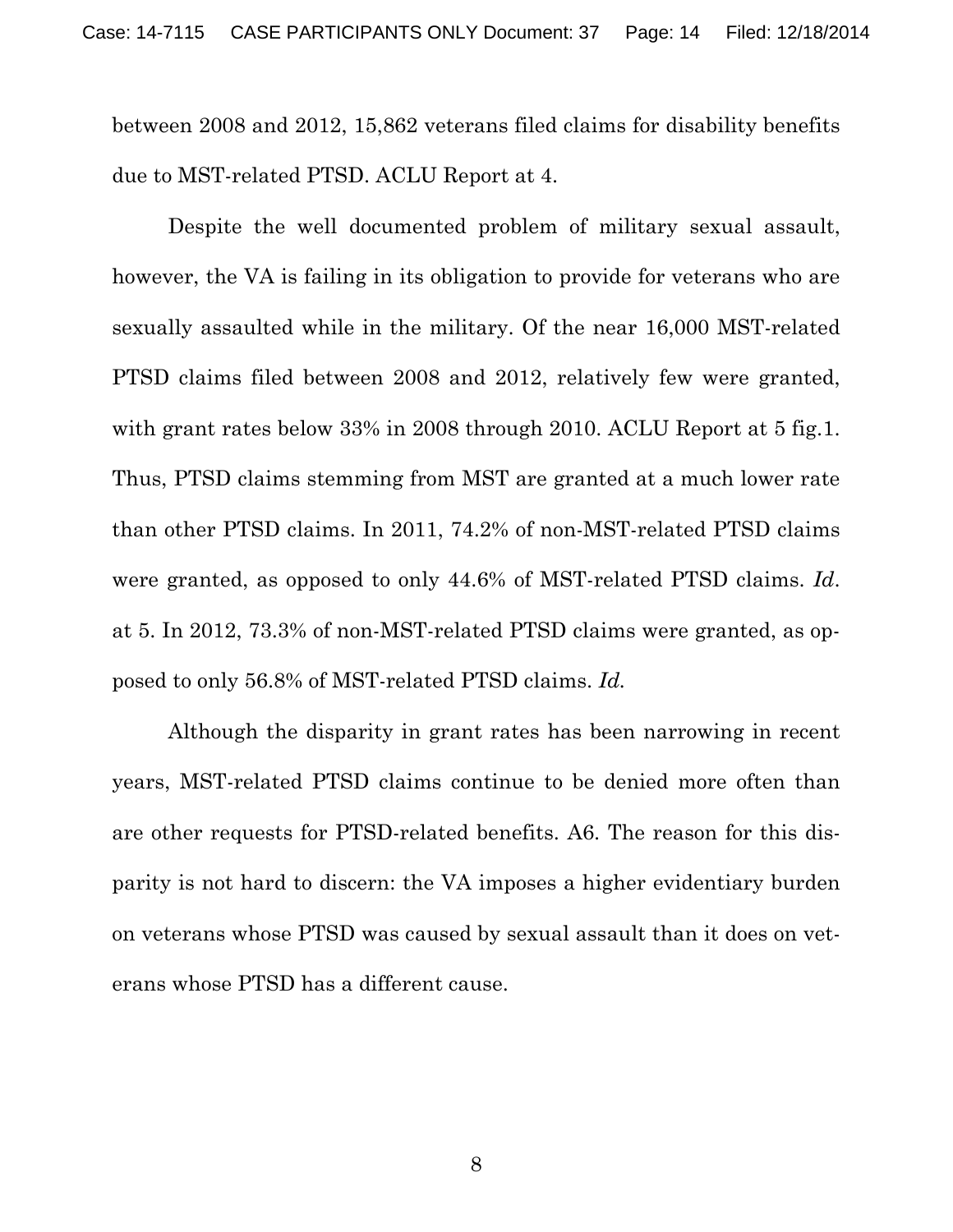between 2008 and 2012, 15,862 veterans filed claims for disability benefits due to MST-related PTSD. ACLU Report at 4.

Despite the well documented problem of military sexual assault, however, the VA is failing in its obligation to provide for veterans who are sexually assaulted while in the military. Of the near 16,000 MST-related PTSD claims filed between 2008 and 2012, relatively few were granted, with grant rates below 33% in 2008 through 2010. ACLU Report at 5 fig.1. Thus, PTSD claims stemming from MST are granted at a much lower rate than other PTSD claims. In 2011, 74.2% of non-MST-related PTSD claims were granted, as opposed to only 44.6% of MST-related PTSD claims. *Id*. at 5. In 2012, 73.3% of non-MST-related PTSD claims were granted, as opposed to only 56.8% of MST-related PTSD claims. *Id.*

Although the disparity in grant rates has been narrowing in recent years, MST-related PTSD claims continue to be denied more often than are other requests for PTSD-related benefits. A6. The reason for this disparity is not hard to discern: the VA imposes a higher evidentiary burden on veterans whose PTSD was caused by sexual assault than it does on veterans whose PTSD has a different cause.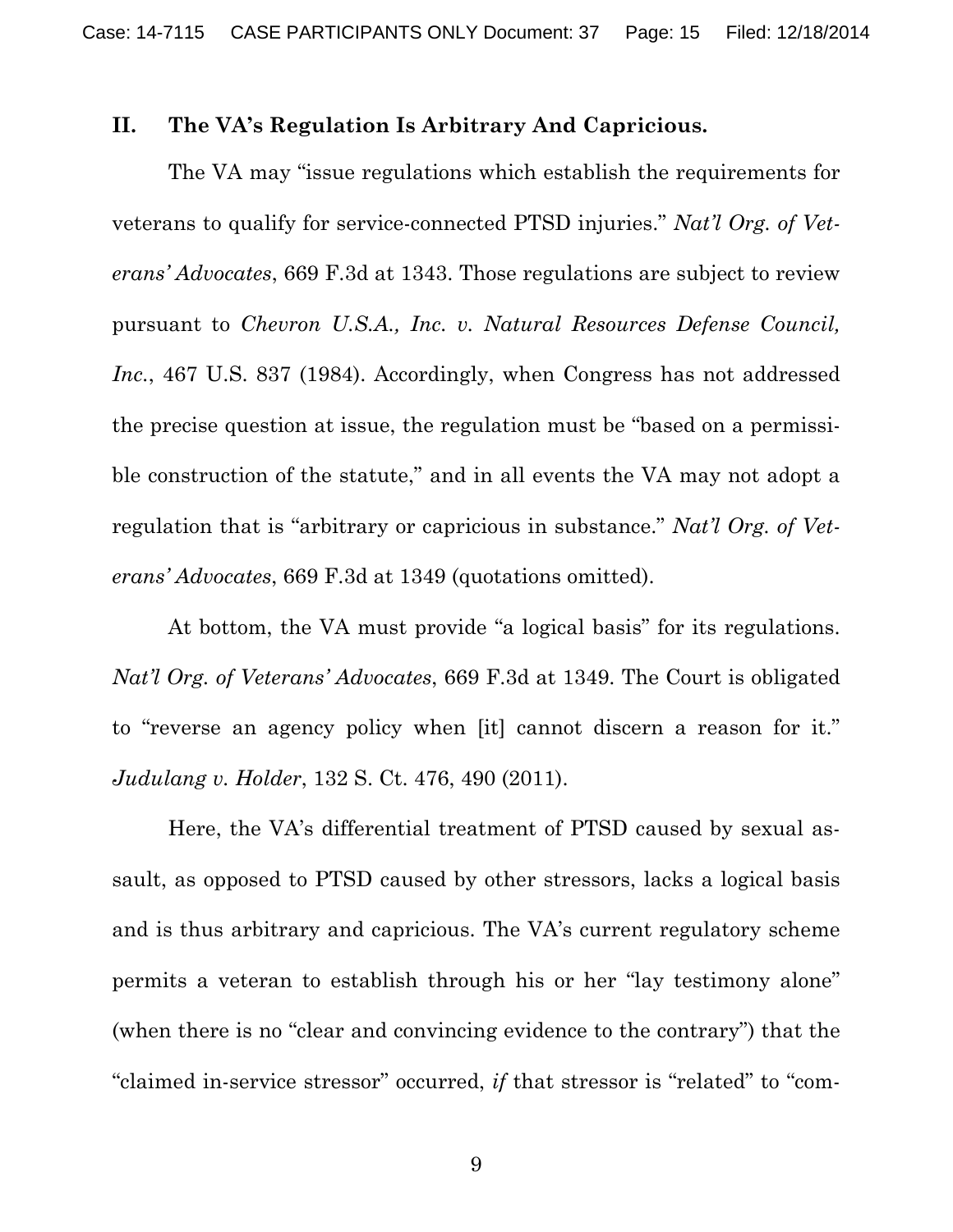#### **II. The VA's Regulation Is Arbitrary And Capricious.**

The VA may "issue regulations which establish the requirements for veterans to qualify for service-connected PTSD injuries." *Nat'l Org. of Veterans' Advocates*, 669 F.3d at 1343. Those regulations are subject to review pursuant to *Chevron U.S.A., Inc. v. Natural Resources Defense Council,*  Inc., 467 U.S. 837 (1984). Accordingly, when Congress has not addressed the precise question at issue, the regulation must be "based on a permissible construction of the statute," and in all events the VA may not adopt a regulation that is "arbitrary or capricious in substance." *Nat'l Org. of Veterans' Advocates*, 669 F.3d at 1349 (quotations omitted).

At bottom, the VA must provide "a logical basis" for its regulations. *Nat'l Org. of Veterans' Advocates*, 669 F.3d at 1349. The Court is obligated to "reverse an agency policy when [it] cannot discern a reason for it." *Judulang v. Holder*, 132 S. Ct. 476, 490 (2011).

Here, the VA's differential treatment of PTSD caused by sexual assault, as opposed to PTSD caused by other stressors, lacks a logical basis and is thus arbitrary and capricious. The VA's current regulatory scheme permits a veteran to establish through his or her "lay testimony alone" (when there is no "clear and convincing evidence to the contrary") that the "claimed in-service stressor" occurred, *if* that stressor is "related" to "com-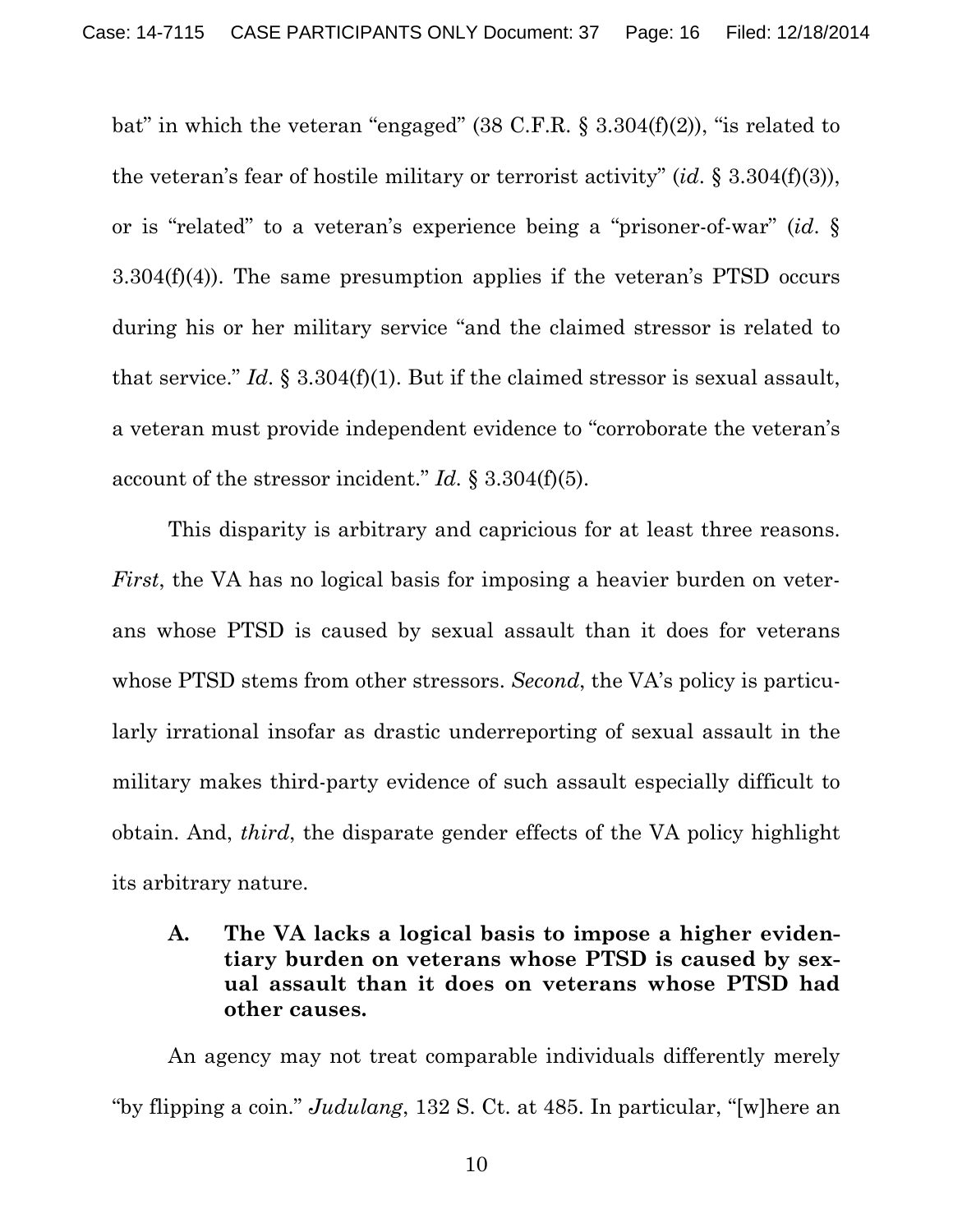bat" in which the veteran "engaged"  $(38 \text{ C.F.R.} \S 3.304(f)(2))$ , "is related to the veteran's fear of hostile military or terrorist activity" (*id*. § 3.304(f)(3)), or is "related" to a veteran's experience being a "prisoner-of-war" (*id*. § 3.304(f)(4)). The same presumption applies if the veteran's PTSD occurs during his or her military service "and the claimed stressor is related to that service." *Id*. § 3.304(f)(1). But if the claimed stressor is sexual assault, a veteran must provide independent evidence to "corroborate the veteran's account of the stressor incident." *Id.* § 3.304(f)(5).

This disparity is arbitrary and capricious for at least three reasons. *First*, the VA has no logical basis for imposing a heavier burden on veterans whose PTSD is caused by sexual assault than it does for veterans whose PTSD stems from other stressors. *Second*, the VA's policy is particularly irrational insofar as drastic underreporting of sexual assault in the military makes third-party evidence of such assault especially difficult to obtain. And, *third*, the disparate gender effects of the VA policy highlight its arbitrary nature.

#### **A. The VA lacks a logical basis to impose a higher evidentiary burden on veterans whose PTSD is caused by sexual assault than it does on veterans whose PTSD had other causes.**

An agency may not treat comparable individuals differently merely "by flipping a coin." *Judulang*, 132 S. Ct. at 485. In particular, "[w]here an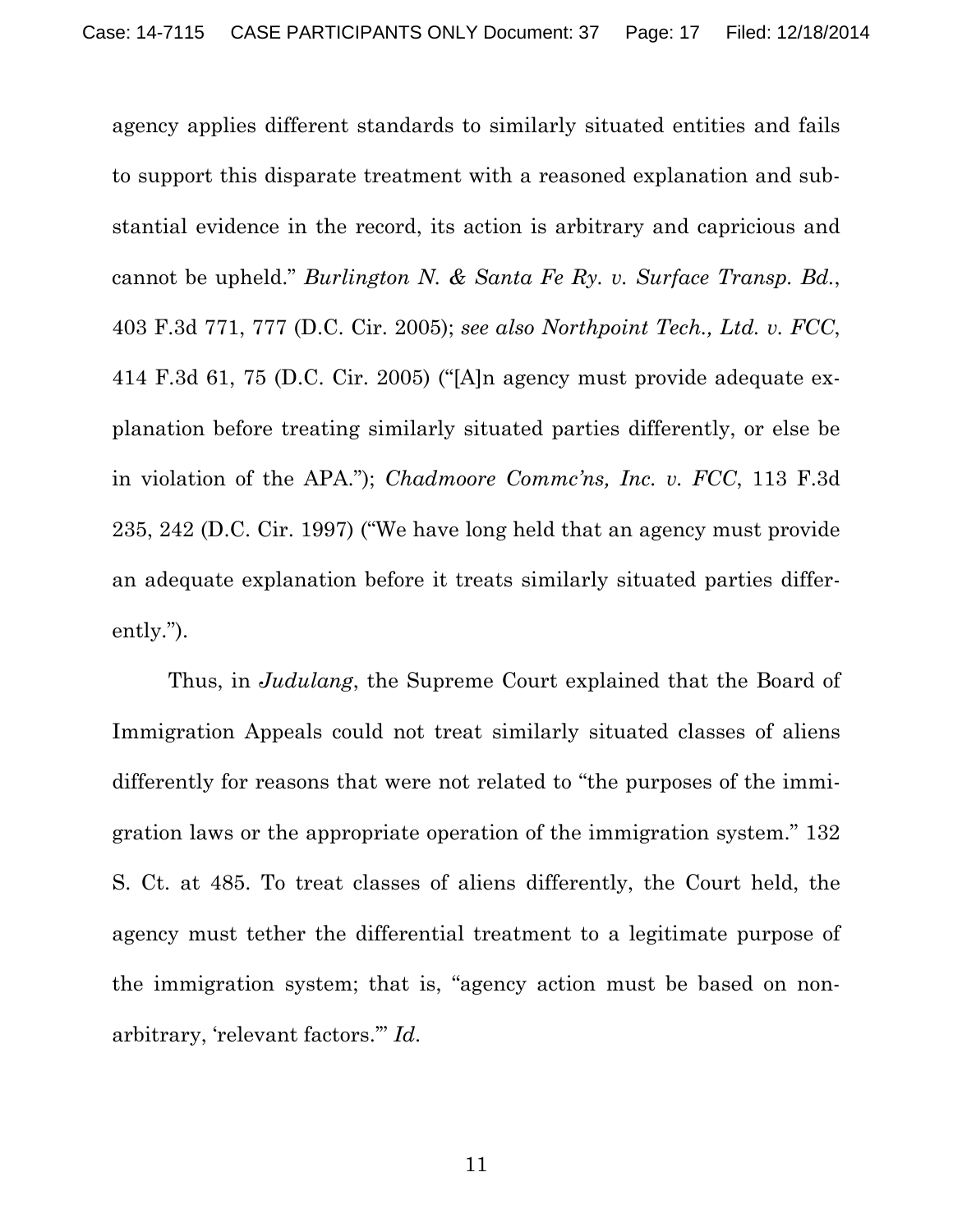agency applies different standards to similarly situated entities and fails to support this disparate treatment with a reasoned explanation and substantial evidence in the record, its action is arbitrary and capricious and cannot be upheld." *Burlington N. & Santa Fe Ry. v. Surface Transp. Bd.*, 403 F.3d 771, 777 (D.C. Cir. 2005); *see also Northpoint Tech., Ltd. v. FCC*, 414 F.3d 61, 75 (D.C. Cir. 2005) ("[A]n agency must provide adequate explanation before treating similarly situated parties differently, or else be in violation of the APA."); *Chadmoore Commc'ns, Inc. v. FCC*, 113 F.3d 235, 242 (D.C. Cir. 1997) ("We have long held that an agency must provide an adequate explanation before it treats similarly situated parties differently.").

Thus, in *Judulang*, the Supreme Court explained that the Board of Immigration Appeals could not treat similarly situated classes of aliens differently for reasons that were not related to "the purposes of the immigration laws or the appropriate operation of the immigration system." 132 S. Ct. at 485. To treat classes of aliens differently, the Court held, the agency must tether the differential treatment to a legitimate purpose of the immigration system; that is, "agency action must be based on nonarbitrary, 'relevant factors.'" *Id*.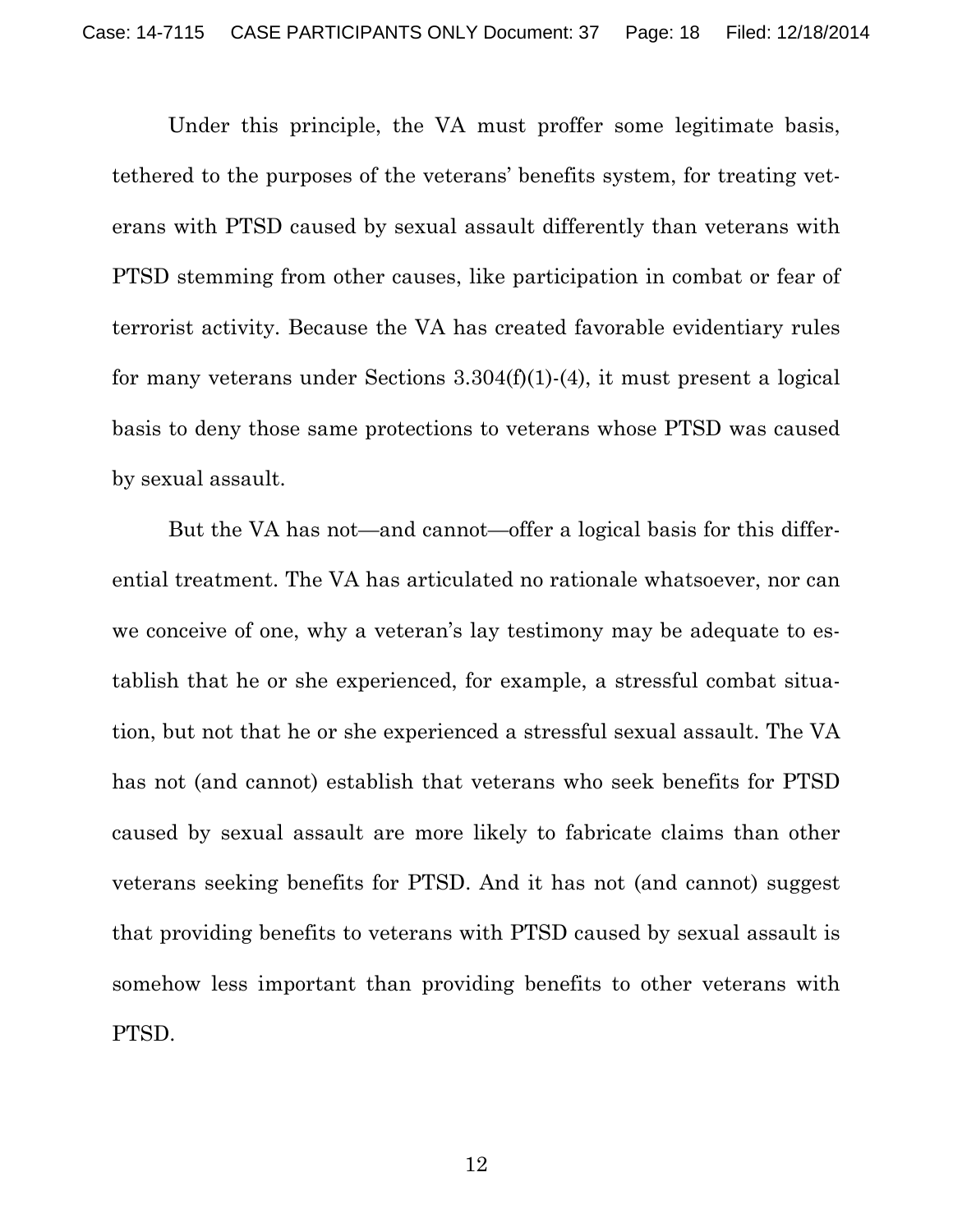Under this principle, the VA must proffer some legitimate basis, tethered to the purposes of the veterans' benefits system, for treating veterans with PTSD caused by sexual assault differently than veterans with PTSD stemming from other causes, like participation in combat or fear of terrorist activity. Because the VA has created favorable evidentiary rules for many veterans under Sections 3.304(f)(1)-(4), it must present a logical basis to deny those same protections to veterans whose PTSD was caused by sexual assault.

But the VA has not—and cannot—offer a logical basis for this differential treatment. The VA has articulated no rationale whatsoever, nor can we conceive of one, why a veteran's lay testimony may be adequate to establish that he or she experienced, for example, a stressful combat situation, but not that he or she experienced a stressful sexual assault. The VA has not (and cannot) establish that veterans who seek benefits for PTSD caused by sexual assault are more likely to fabricate claims than other veterans seeking benefits for PTSD. And it has not (and cannot) suggest that providing benefits to veterans with PTSD caused by sexual assault is somehow less important than providing benefits to other veterans with PTSD.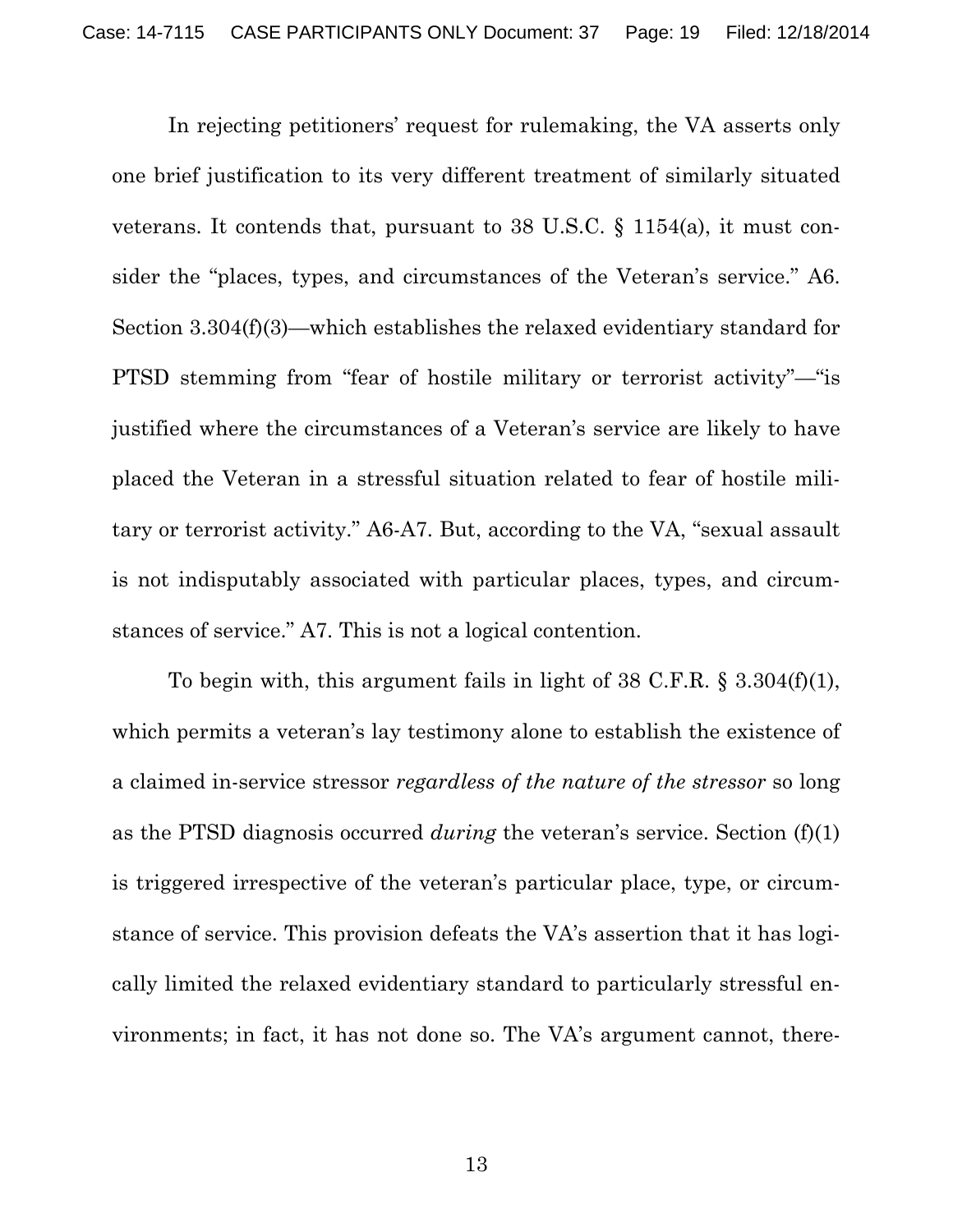In rejecting petitioners' request for rulemaking, the VA asserts only one brief justification to its very different treatment of similarly situated veterans. It contends that, pursuant to 38 U.S.C. § 1154(a), it must consider the "places, types, and circumstances of the Veteran's service." A6. Section 3.304(f)(3)—which establishes the relaxed evidentiary standard for PTSD stemming from "fear of hostile military or terrorist activity"—"is justified where the circumstances of a Veteran's service are likely to have placed the Veteran in a stressful situation related to fear of hostile military or terrorist activity." A6-A7. But, according to the VA, "sexual assault is not indisputably associated with particular places, types, and circumstances of service." A7. This is not a logical contention.

To begin with, this argument fails in light of 38 C.F.R. § 3.304(f)(1), which permits a veteran's lay testimony alone to establish the existence of a claimed in-service stressor *regardless of the nature of the stressor* so long as the PTSD diagnosis occurred *during* the veteran's service. Section (f)(1) is triggered irrespective of the veteran's particular place, type, or circumstance of service. This provision defeats the VA's assertion that it has logically limited the relaxed evidentiary standard to particularly stressful environments; in fact, it has not done so. The VA's argument cannot, there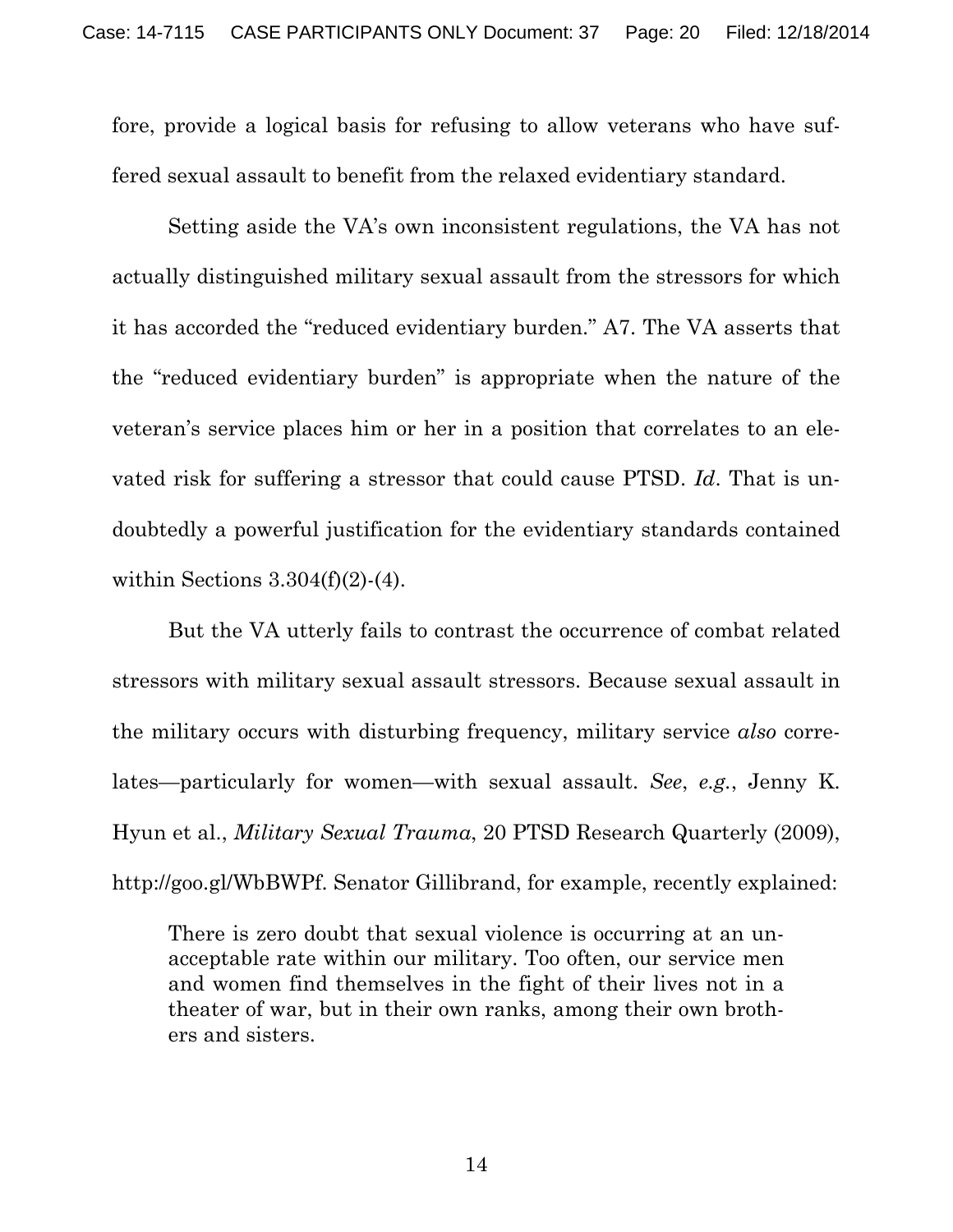fore, provide a logical basis for refusing to allow veterans who have suffered sexual assault to benefit from the relaxed evidentiary standard.

Setting aside the VA's own inconsistent regulations, the VA has not actually distinguished military sexual assault from the stressors for which it has accorded the "reduced evidentiary burden." A7. The VA asserts that the "reduced evidentiary burden" is appropriate when the nature of the veteran's service places him or her in a position that correlates to an elevated risk for suffering a stressor that could cause PTSD. *Id*. That is undoubtedly a powerful justification for the evidentiary standards contained within Sections  $3.304(f)(2)-(4)$ .

But the VA utterly fails to contrast the occurrence of combat related stressors with military sexual assault stressors. Because sexual assault in the military occurs with disturbing frequency, military service *also* correlates—particularly for women—with sexual assault. *See*, *e.g.*, Jenny K. Hyun et al., *Military Sexual Trauma*, 20 PTSD Research Quarterly (2009), http://goo.gl/WbBWPf. Senator Gillibrand, for example, recently explained:

There is zero doubt that sexual violence is occurring at an unacceptable rate within our military. Too often, our service men and women find themselves in the fight of their lives not in a theater of war, but in their own ranks, among their own brothers and sisters.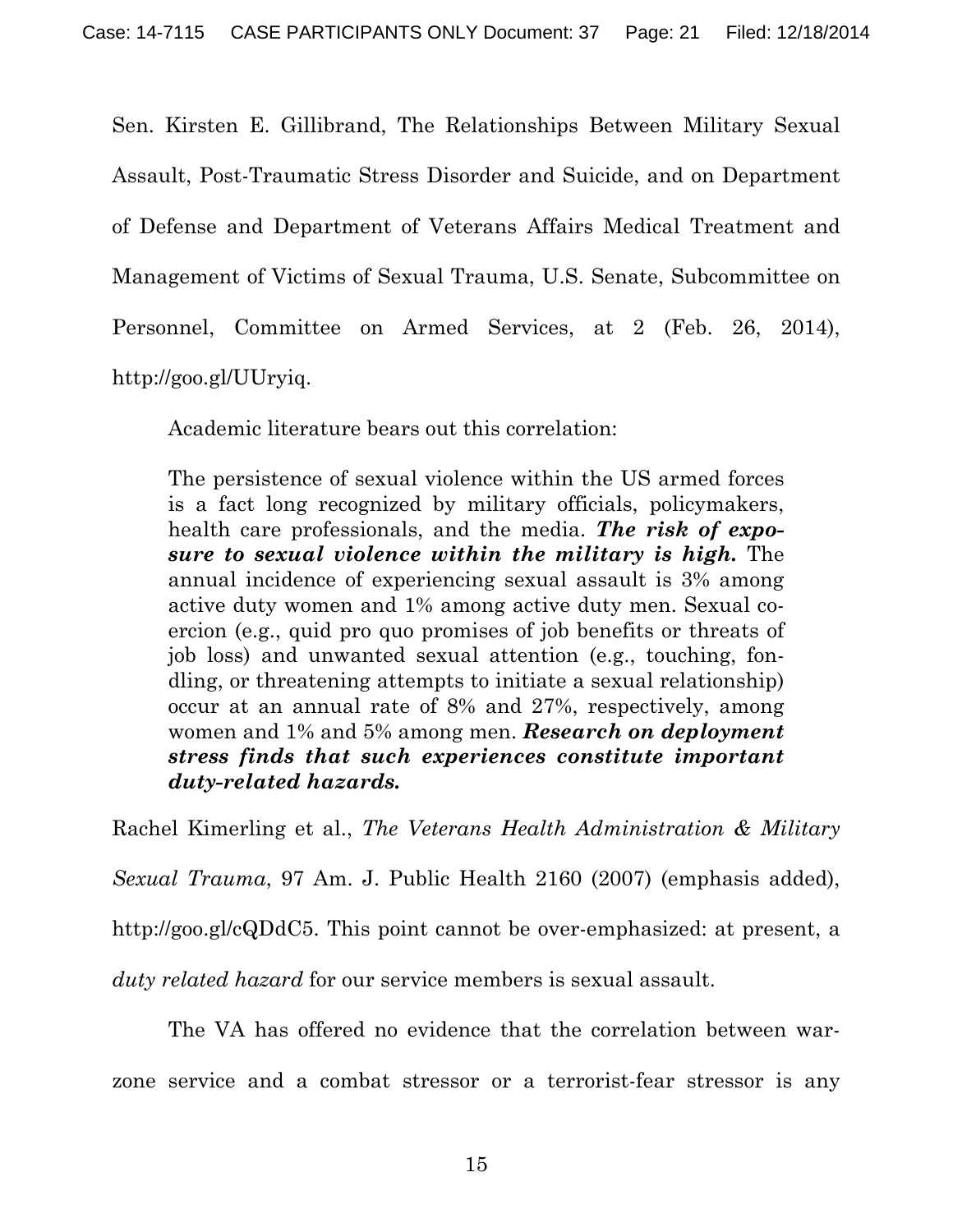Sen. Kirsten E. Gillibrand, The Relationships Between Military Sexual Assault, Post-Traumatic Stress Disorder and Suicide, and on Department of Defense and Department of Veterans Affairs Medical Treatment and Management of Victims of Sexual Trauma, U.S. Senate, Subcommittee on Personnel, Committee on Armed Services, at 2 (Feb. 26, 2014), http://goo.gl/UUryiq.

Academic literature bears out this correlation:

The persistence of sexual violence within the US armed forces is a fact long recognized by military officials, policymakers, health care professionals, and the media. *The risk of exposure to sexual violence within the military is high.* The annual incidence of experiencing sexual assault is 3% among active duty women and 1% among active duty men. Sexual coercion (e.g., quid pro quo promises of job benefits or threats of job loss) and unwanted sexual attention (e.g., touching, fondling, or threatening attempts to initiate a sexual relationship) occur at an annual rate of 8% and 27%, respectively, among women and 1% and 5% among men. *Research on deployment stress finds that such experiences constitute important duty-related hazards.*

Rachel Kimerling et al., *The Veterans Health Administration & Military Sexual Trauma*, 97 Am. J. Public Health 2160 (2007) (emphasis added), http://goo.gl/cQDdC5. This point cannot be over-emphasized: at present, a *duty related hazard* for our service members is sexual assault.

 The VA has offered no evidence that the correlation between warzone service and a combat stressor or a terrorist-fear stressor is any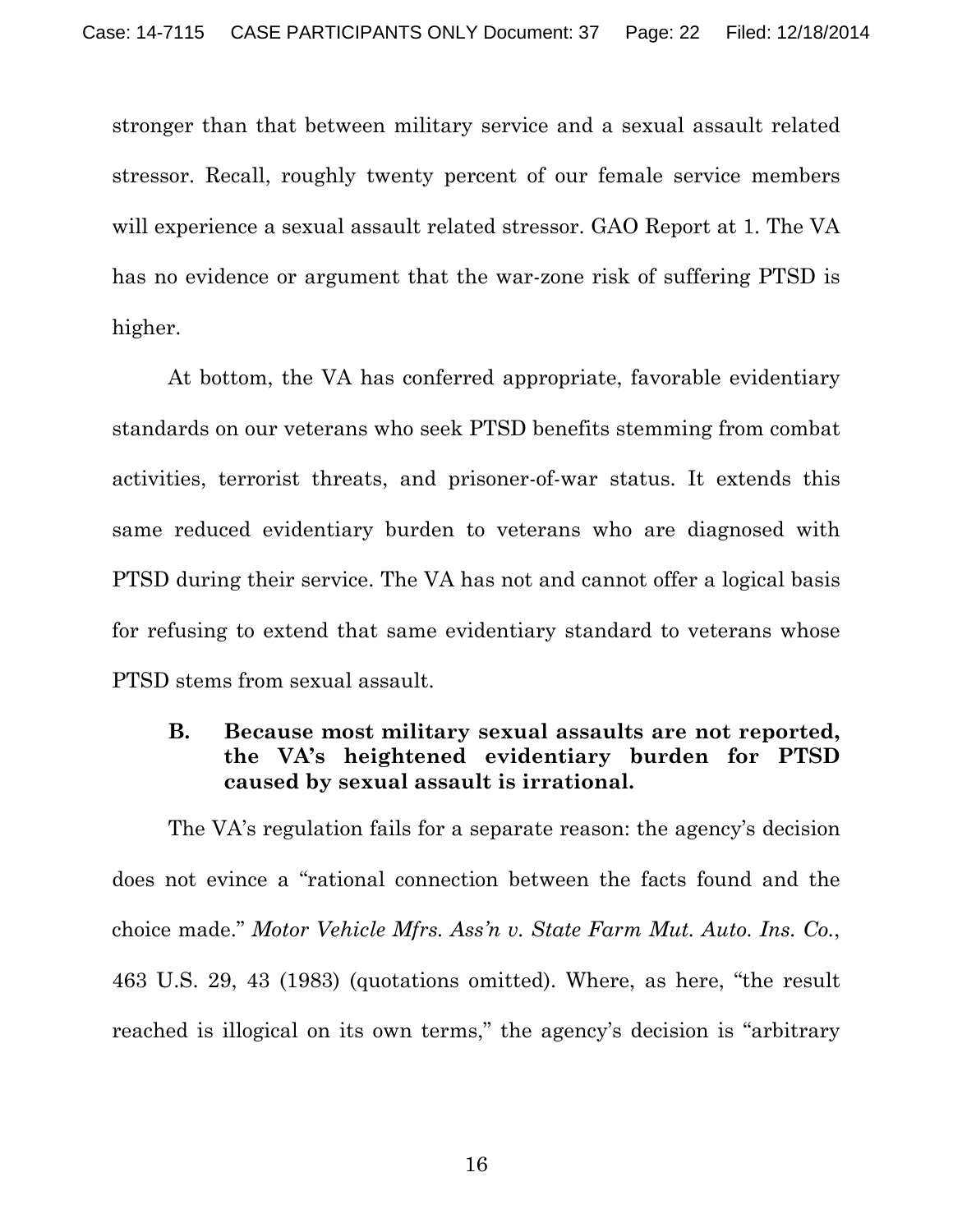stronger than that between military service and a sexual assault related stressor. Recall, roughly twenty percent of our female service members will experience a sexual assault related stressor. GAO Report at 1. The VA has no evidence or argument that the war-zone risk of suffering PTSD is higher.

At bottom, the VA has conferred appropriate, favorable evidentiary standards on our veterans who seek PTSD benefits stemming from combat activities, terrorist threats, and prisoner-of-war status. It extends this same reduced evidentiary burden to veterans who are diagnosed with PTSD during their service. The VA has not and cannot offer a logical basis for refusing to extend that same evidentiary standard to veterans whose PTSD stems from sexual assault.

### **B. Because most military sexual assaults are not reported, the VA's heightened evidentiary burden for PTSD caused by sexual assault is irrational.**

The VA's regulation fails for a separate reason: the agency's decision does not evince a "rational connection between the facts found and the choice made." *Motor Vehicle Mfrs. Ass'n v. State Farm Mut. Auto. Ins. Co.*, 463 U.S. 29, 43 (1983) (quotations omitted). Where, as here, "the result reached is illogical on its own terms," the agency's decision is "arbitrary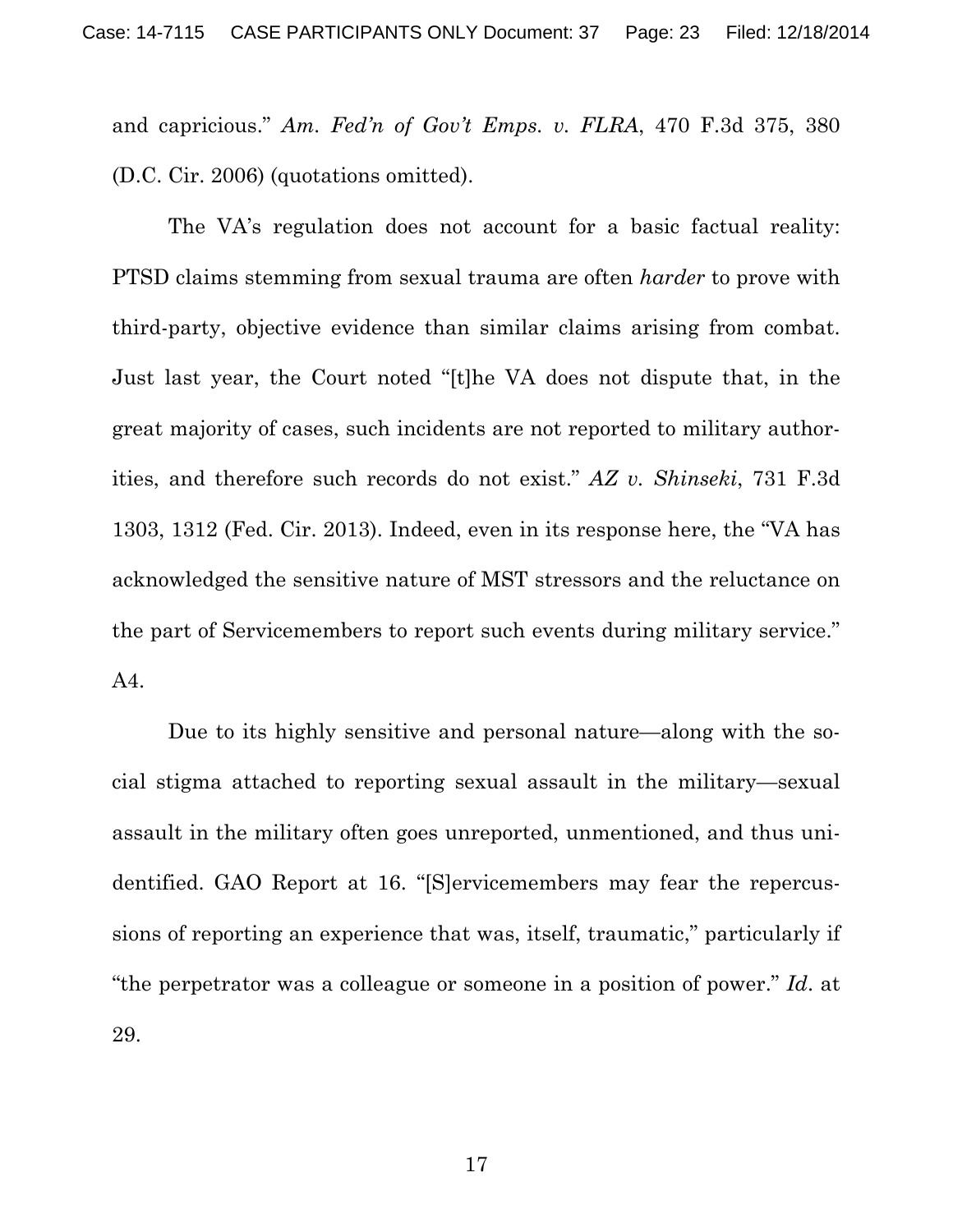and capricious." *Am. Fed'n of Gov't Emps. v. FLRA*, 470 F.3d 375, 380 (D.C. Cir. 2006) (quotations omitted).

The VA's regulation does not account for a basic factual reality: PTSD claims stemming from sexual trauma are often *harder* to prove with third-party, objective evidence than similar claims arising from combat. Just last year, the Court noted "[t]he VA does not dispute that, in the great majority of cases, such incidents are not reported to military authorities, and therefore such records do not exist." *AZ v. Shinseki*, 731 F.3d 1303, 1312 (Fed. Cir. 2013). Indeed, even in its response here, the "VA has acknowledged the sensitive nature of MST stressors and the reluctance on the part of Servicemembers to report such events during military service." A4.

Due to its highly sensitive and personal nature—along with the social stigma attached to reporting sexual assault in the military—sexual assault in the military often goes unreported, unmentioned, and thus unidentified. GAO Report at 16. "[S]ervicemembers may fear the repercussions of reporting an experience that was, itself, traumatic," particularly if "the perpetrator was a colleague or someone in a position of power." *Id*. at 29.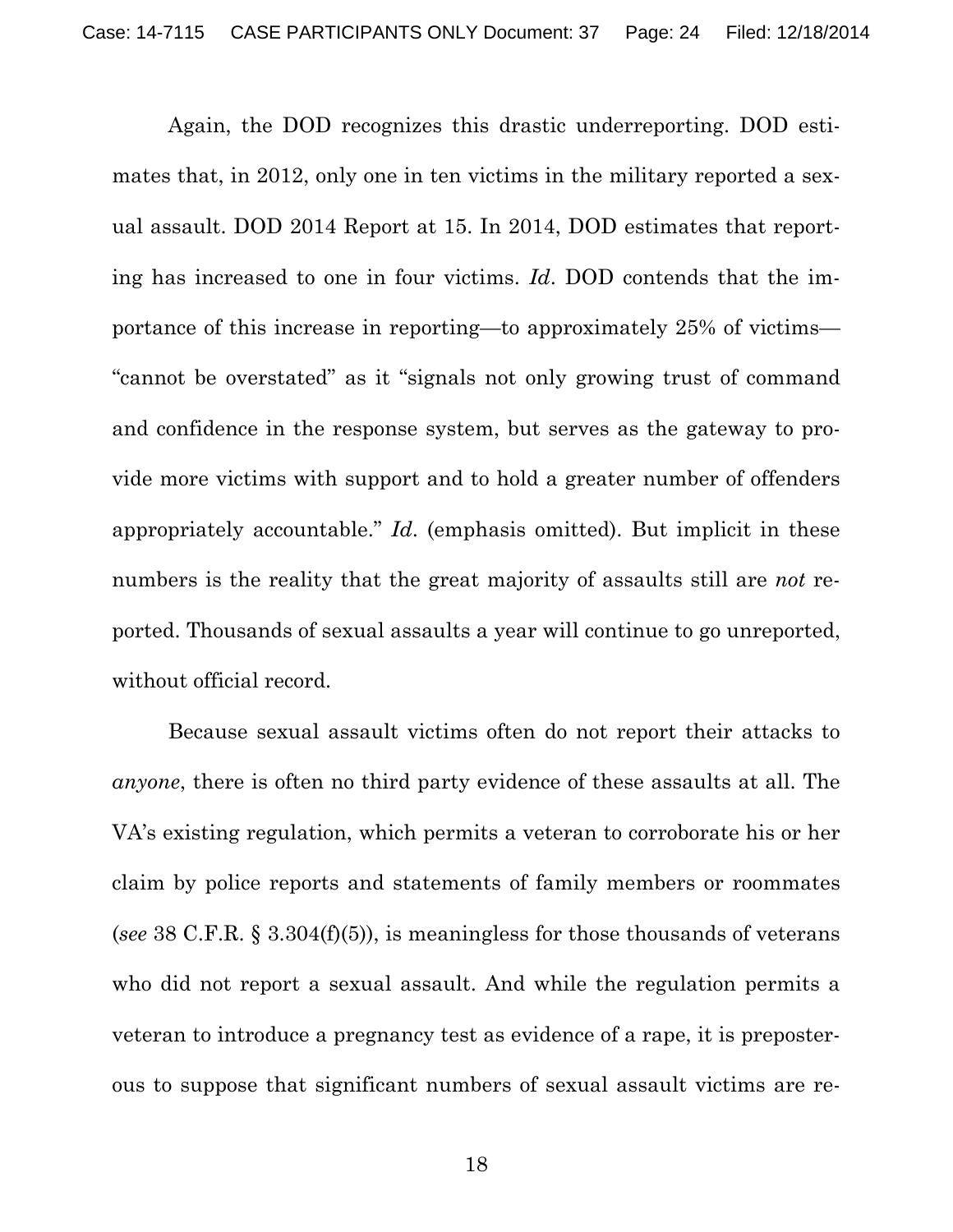Again, the DOD recognizes this drastic underreporting. DOD estimates that, in 2012, only one in ten victims in the military reported a sexual assault. DOD 2014 Report at 15. In 2014, DOD estimates that reporting has increased to one in four victims. *Id*. DOD contends that the importance of this increase in reporting—to approximately 25% of victims— "cannot be overstated" as it "signals not only growing trust of command and confidence in the response system, but serves as the gateway to provide more victims with support and to hold a greater number of offenders appropriately accountable." *Id*. (emphasis omitted). But implicit in these numbers is the reality that the great majority of assaults still are *not* reported. Thousands of sexual assaults a year will continue to go unreported, without official record.

Because sexual assault victims often do not report their attacks to *anyone*, there is often no third party evidence of these assaults at all. The VA's existing regulation, which permits a veteran to corroborate his or her claim by police reports and statements of family members or roommates (*see* 38 C.F.R. § 3.304(f)(5)), is meaningless for those thousands of veterans who did not report a sexual assault. And while the regulation permits a veteran to introduce a pregnancy test as evidence of a rape, it is preposterous to suppose that significant numbers of sexual assault victims are re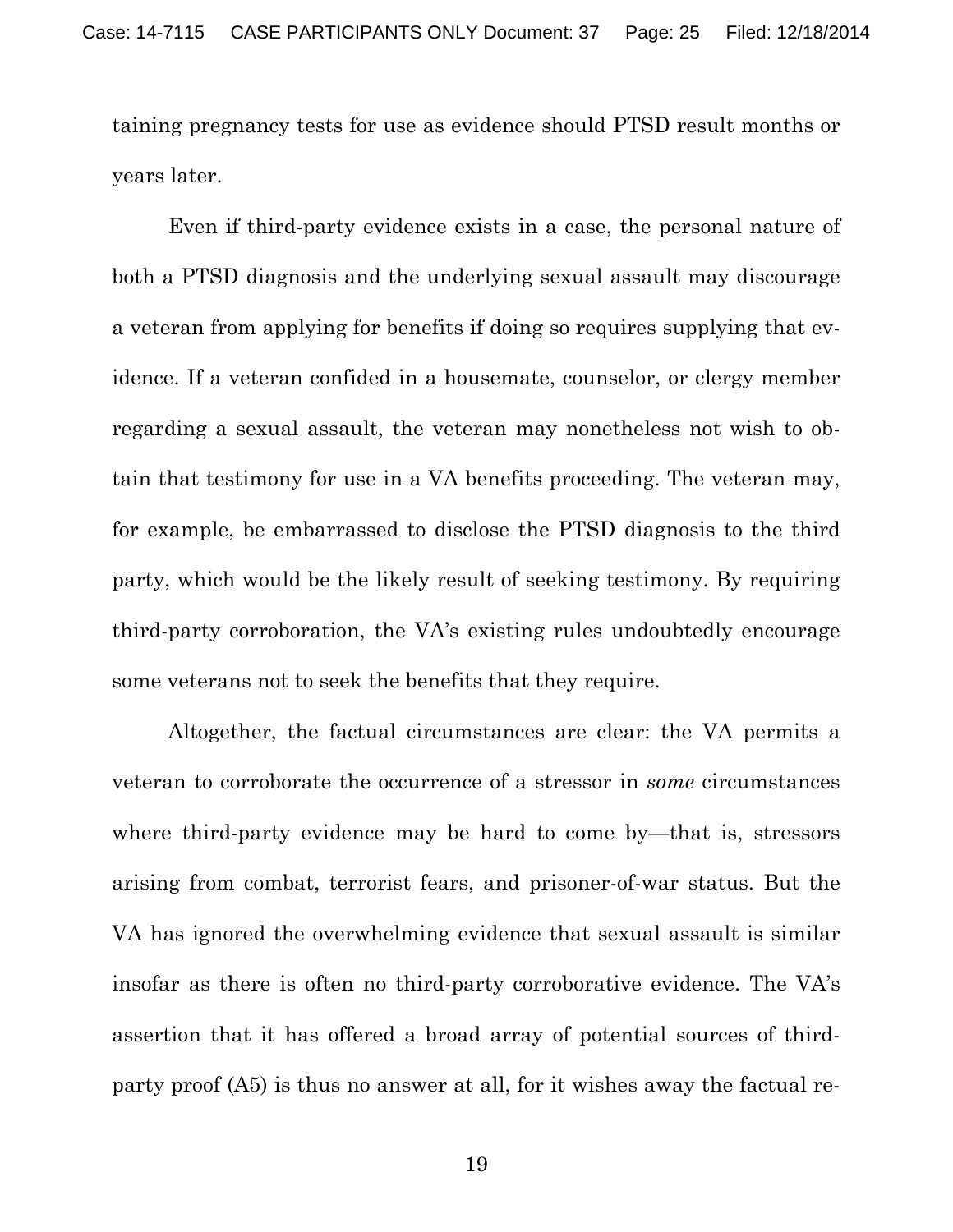taining pregnancy tests for use as evidence should PTSD result months or years later.

Even if third-party evidence exists in a case, the personal nature of both a PTSD diagnosis and the underlying sexual assault may discourage a veteran from applying for benefits if doing so requires supplying that evidence. If a veteran confided in a housemate, counselor, or clergy member regarding a sexual assault, the veteran may nonetheless not wish to obtain that testimony for use in a VA benefits proceeding. The veteran may, for example, be embarrassed to disclose the PTSD diagnosis to the third party, which would be the likely result of seeking testimony. By requiring third-party corroboration, the VA's existing rules undoubtedly encourage some veterans not to seek the benefits that they require.

Altogether, the factual circumstances are clear: the VA permits a veteran to corroborate the occurrence of a stressor in *some* circumstances where third-party evidence may be hard to come by—that is, stressors arising from combat, terrorist fears, and prisoner-of-war status. But the VA has ignored the overwhelming evidence that sexual assault is similar insofar as there is often no third-party corroborative evidence. The VA's assertion that it has offered a broad array of potential sources of thirdparty proof (A5) is thus no answer at all, for it wishes away the factual re-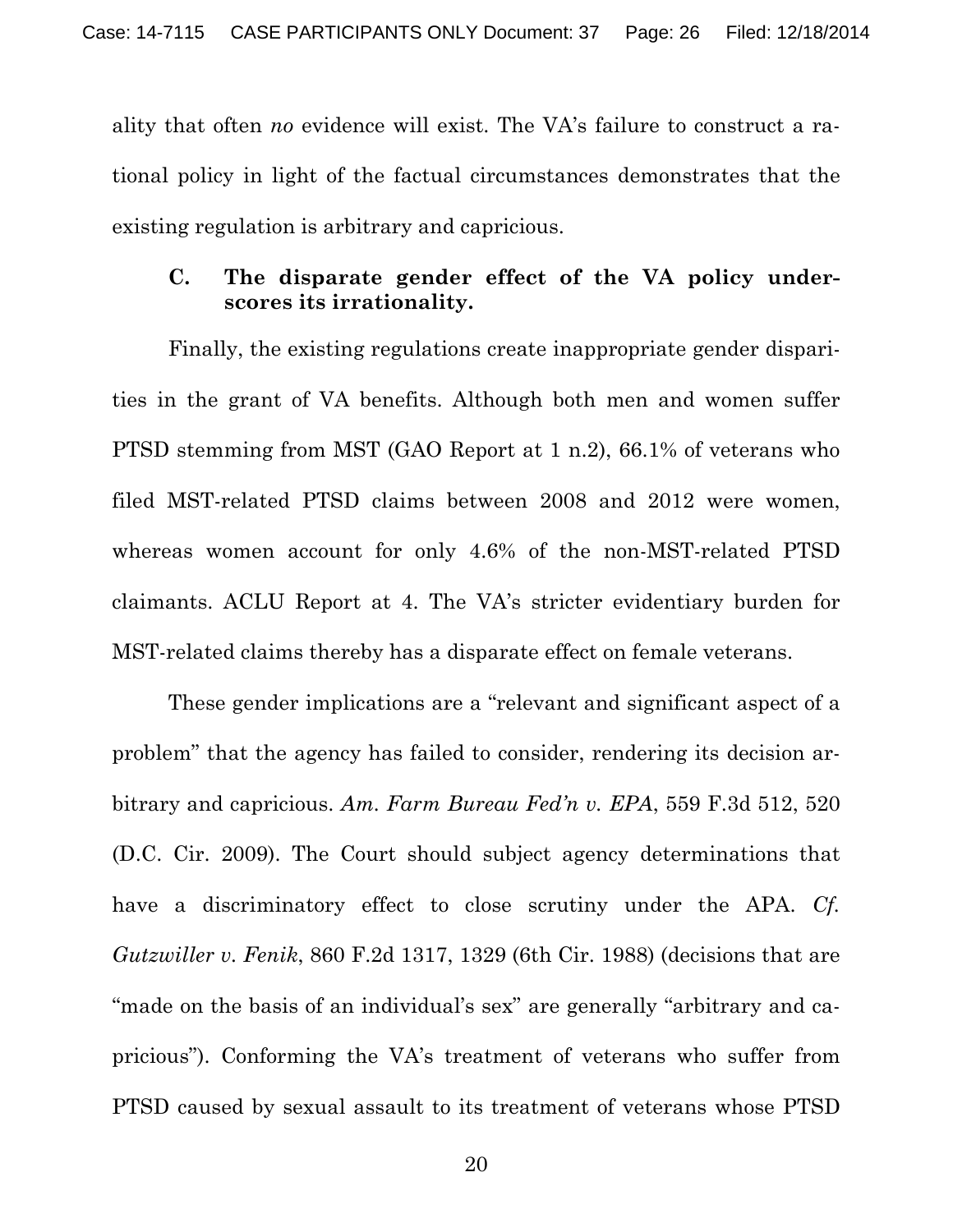ality that often *no* evidence will exist. The VA's failure to construct a rational policy in light of the factual circumstances demonstrates that the existing regulation is arbitrary and capricious.

#### **C. The disparate gender effect of the VA policy underscores its irrationality.**

Finally, the existing regulations create inappropriate gender disparities in the grant of VA benefits. Although both men and women suffer PTSD stemming from MST (GAO Report at 1 n.2), 66.1% of veterans who filed MST-related PTSD claims between 2008 and 2012 were women, whereas women account for only 4.6% of the non-MST-related PTSD claimants. ACLU Report at 4. The VA's stricter evidentiary burden for MST-related claims thereby has a disparate effect on female veterans.

These gender implications are a "relevant and significant aspect of a problem" that the agency has failed to consider, rendering its decision arbitrary and capricious. *Am. Farm Bureau Fed'n v. EPA*, 559 F.3d 512, 520 (D.C. Cir. 2009). The Court should subject agency determinations that have a discriminatory effect to close scrutiny under the APA. *Cf. Gutzwiller v. Fenik*, 860 F.2d 1317, 1329 (6th Cir. 1988) (decisions that are "made on the basis of an individual's sex" are generally "arbitrary and capricious"). Conforming the VA's treatment of veterans who suffer from PTSD caused by sexual assault to its treatment of veterans whose PTSD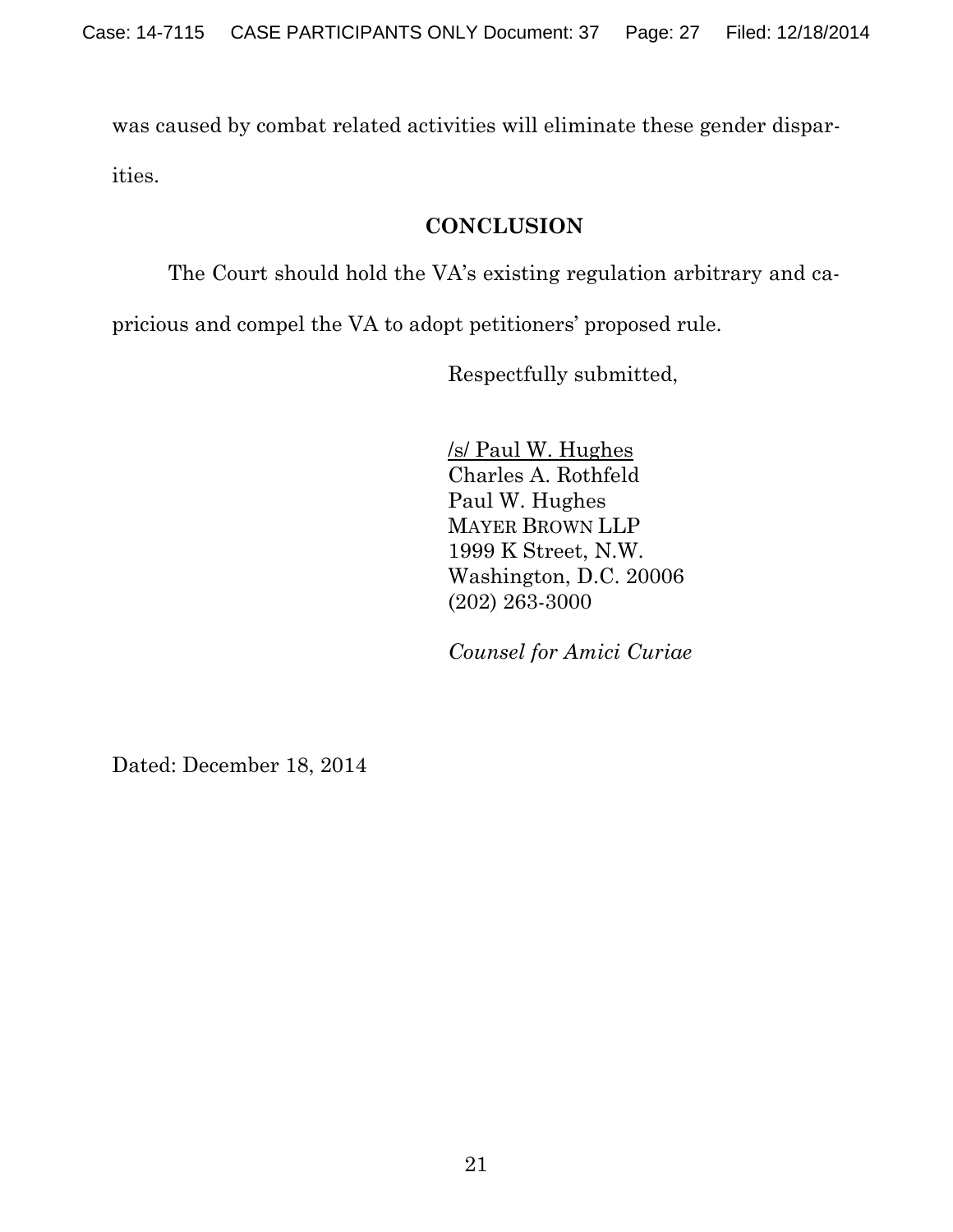was caused by combat related activities will eliminate these gender disparities.

### **CONCLUSION**

The Court should hold the VA's existing regulation arbitrary and ca-

pricious and compel the VA to adopt petitioners' proposed rule.

Respectfully submitted,

/s/ Paul W. Hughes Charles A. Rothfeld Paul W. Hughes MAYER BROWN LLP 1999 K Street, N.W. Washington, D.C. 20006 (202) 263-3000

*Counsel for Amici Curiae* 

Dated: December 18, 2014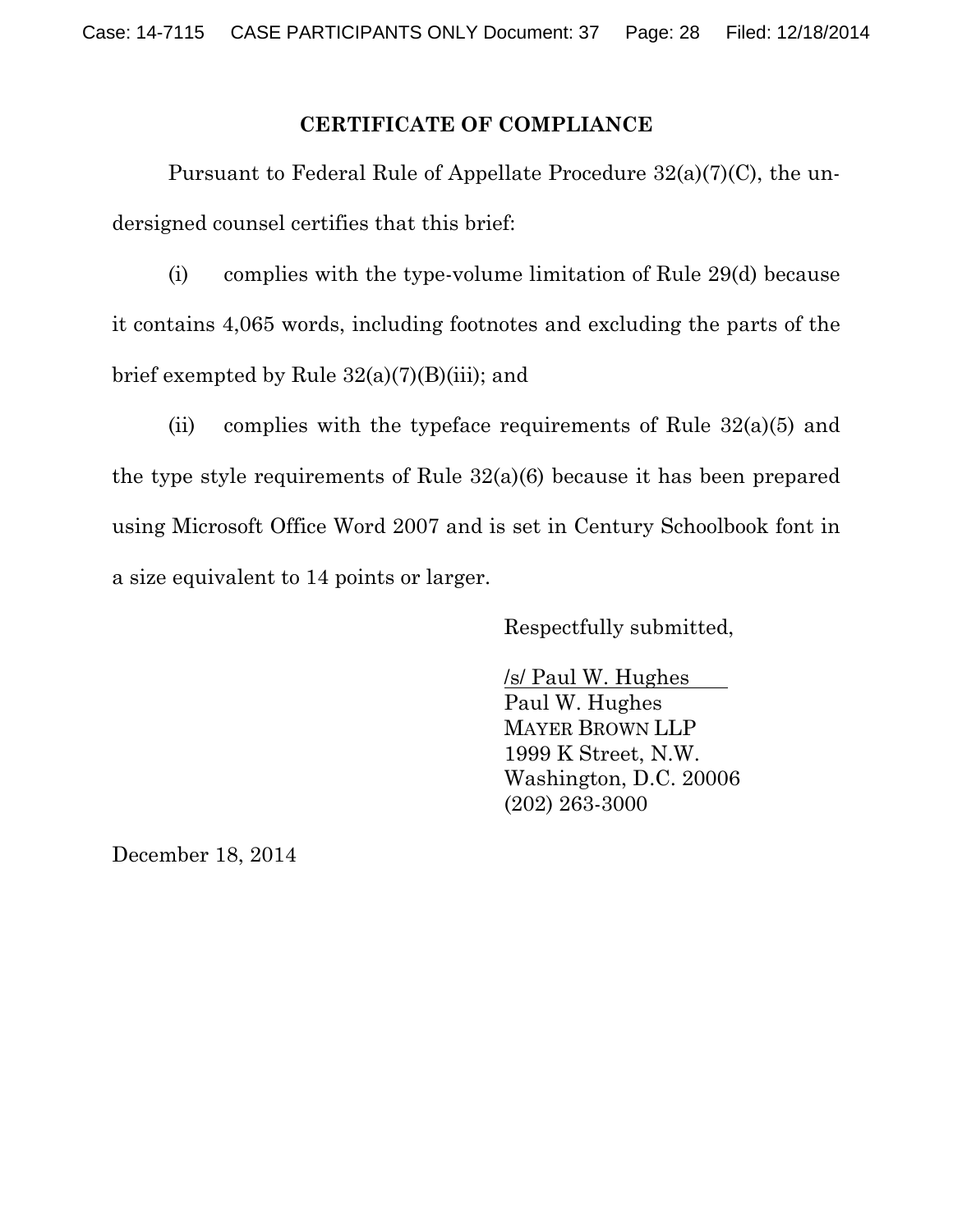#### **CERTIFICATE OF COMPLIANCE**

Pursuant to Federal Rule of Appellate Procedure 32(a)(7)(C), the undersigned counsel certifies that this brief:

(i) complies with the type-volume limitation of Rule 29(d) because it contains 4,065 words, including footnotes and excluding the parts of the brief exempted by Rule  $32(a)(7)(B)(iii)$ ; and

(ii) complies with the typeface requirements of Rule  $32(a)(5)$  and the type style requirements of Rule 32(a)(6) because it has been prepared using Microsoft Office Word 2007 and is set in Century Schoolbook font in a size equivalent to 14 points or larger.

Respectfully submitted,

/s/ Paul W. Hughes Paul W. Hughes MAYER BROWN LLP 1999 K Street, N.W. Washington, D.C. 20006 (202) 263-3000

December 18, 2014